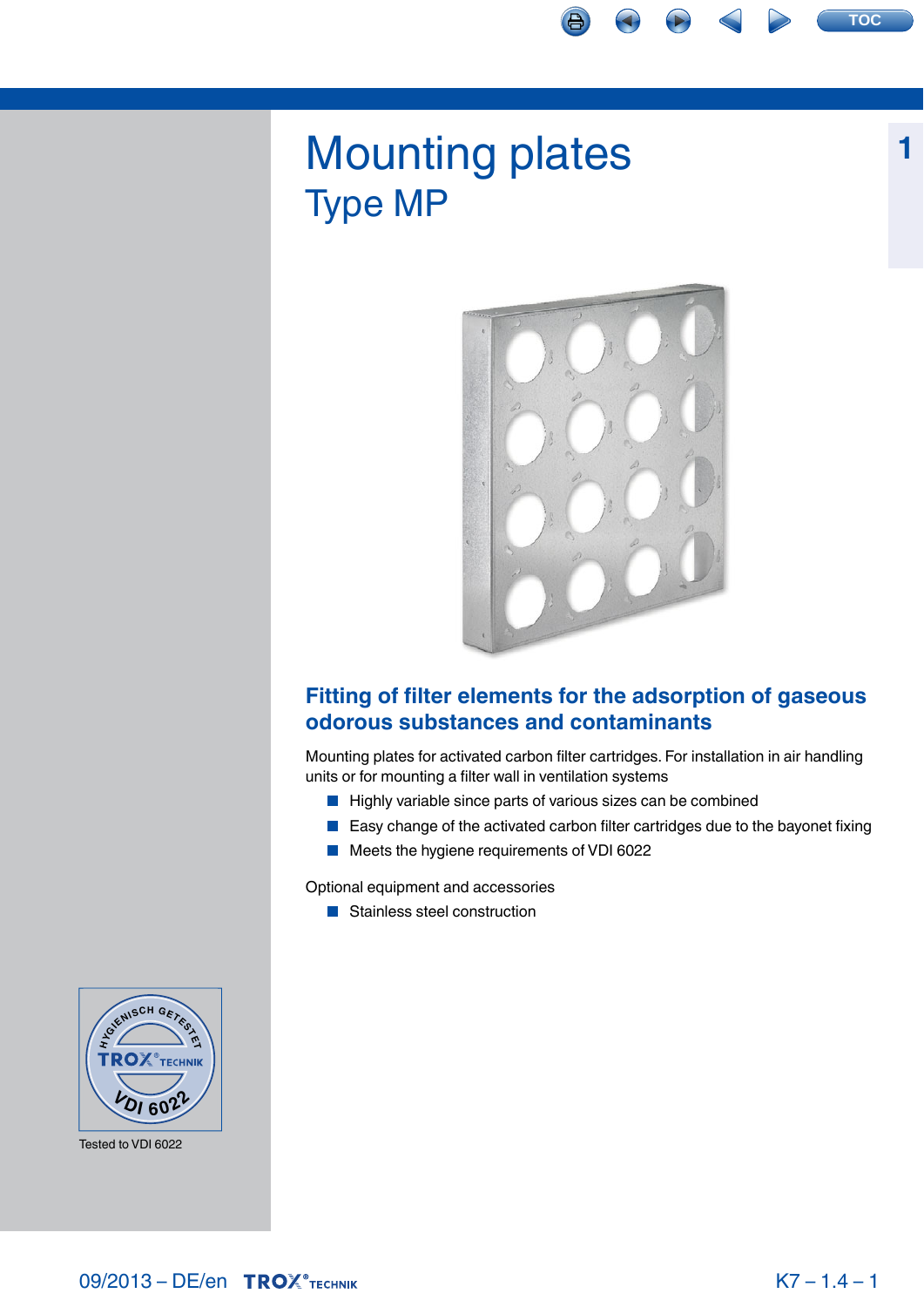# Mounting plates Type MP



# **Fitting of filter elements for the adsorption of gaseous odorous substances and contaminants**

Mounting plates for activated carbon filter cartridges. For installation in air handling units or for mounting a filter wall in ventilation systems

- $\blacksquare$  Highly variable since parts of various sizes can be combined
- **Easy change of the activated carbon filter cartridges due to the bayonet fixing**
- Meets the hygiene requirements of VDI 6022

Optional equipment and accessories

**Stainless steel construction** 



Tested to VDI 6022

**1**

**TOC**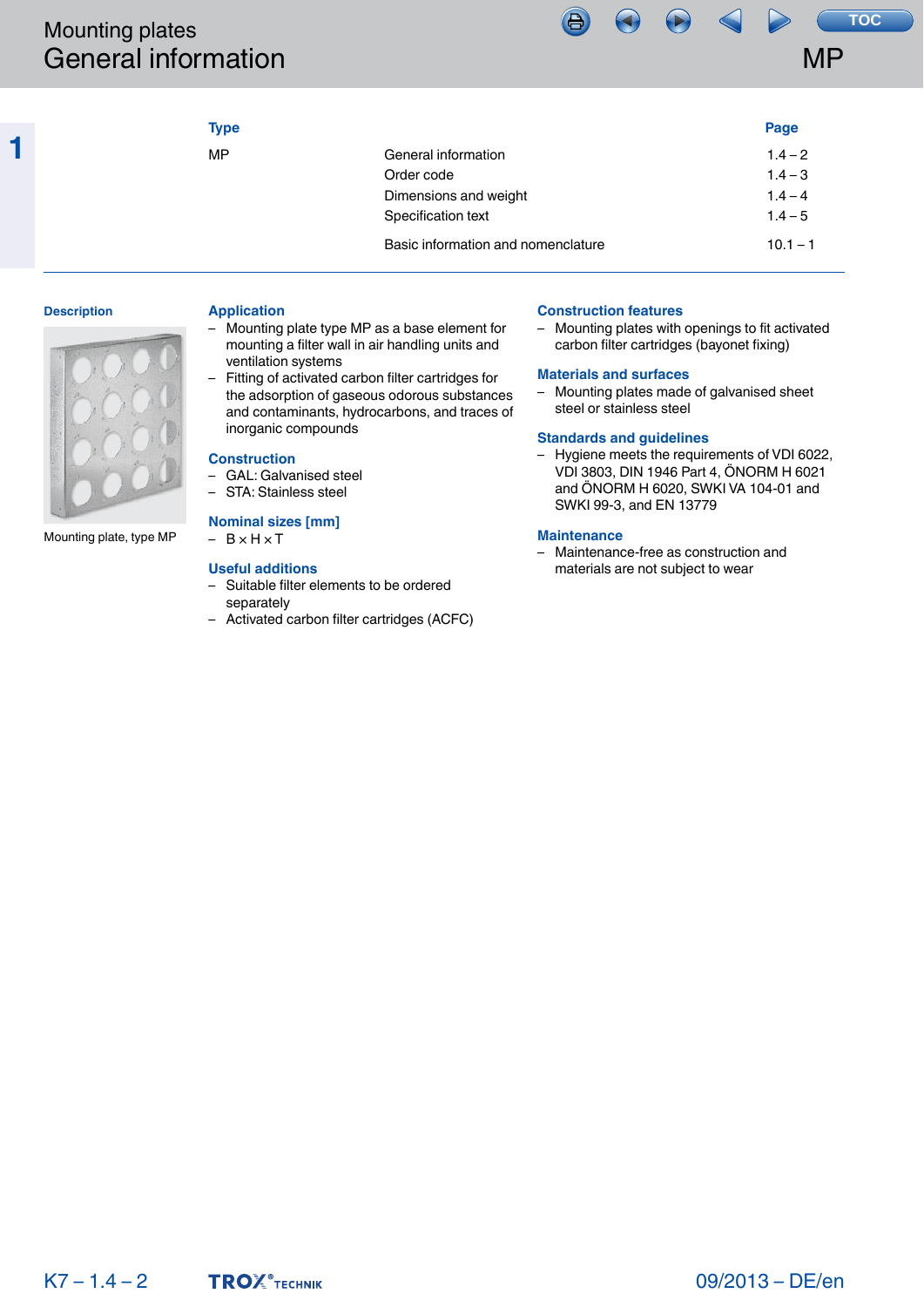|                                                                                                       |                                                                                                                                                                                                                                                                                                                                                                                                                                                                                                                                                                                                                                                                               |                                                                                                                        |                                                                                                                                                                                                                                                                                                                                                                                                                                                                                                                                                 | <b>MP</b>                                                                            |
|-------------------------------------------------------------------------------------------------------|-------------------------------------------------------------------------------------------------------------------------------------------------------------------------------------------------------------------------------------------------------------------------------------------------------------------------------------------------------------------------------------------------------------------------------------------------------------------------------------------------------------------------------------------------------------------------------------------------------------------------------------------------------------------------------|------------------------------------------------------------------------------------------------------------------------|-------------------------------------------------------------------------------------------------------------------------------------------------------------------------------------------------------------------------------------------------------------------------------------------------------------------------------------------------------------------------------------------------------------------------------------------------------------------------------------------------------------------------------------------------|--------------------------------------------------------------------------------------|
| <b>Mounting plates</b><br><b>General information</b><br><b>Description</b><br>Mounting plate, type MP | <b>Type</b><br><b>MP</b><br><b>Application</b><br>Mounting plate type MP as a base element for<br>$\overline{\phantom{0}}$<br>mounting a filter wall in air handling units and<br>ventilation systems<br>Fitting of activated carbon filter cartridges for<br>$\qquad \qquad -$<br>the adsorption of gaseous odorous substances<br>and contaminants, hydrocarbons, and traces of<br>inorganic compounds<br><b>Construction</b><br>- GAL: Galvanised steel<br>STA: Stainless steel<br><b>Nominal sizes [mm]</b><br>$- B \times H \times T$<br><b>Useful additions</b><br>- Suitable filter elements to be ordered<br>separately<br>- Activated carbon filter cartridges (ACFC) | General information<br>Order code<br>Dimensions and weight<br>Specification text<br>Basic information and nomenclature | <b>Construction features</b><br>- Mounting plates with openings to fit activated<br>carbon filter cartridges (bayonet fixing)<br><b>Materials and surfaces</b><br>- Mounting plates made of galvanised sheet<br>steel or stainless steel<br><b>Standards and guidelines</b><br>- Hygiene meets the requirements of VDI 6022,<br>VDI 3803, DIN 1946 Part 4, ÖNORM H 6021<br>and ÖNORM H 6020, SWKI VA 104-01 and<br>SWKI 99-3, and EN 13779<br><b>Maintenance</b><br>- Maintenance-free as construction and<br>materials are not subject to wear | <b>TOC</b><br>Page<br>$1.4 - 2$<br>$1.4 - 3$<br>$1.4 - 4$<br>$1.4 - 5$<br>$10.1 - 1$ |
|                                                                                                       |                                                                                                                                                                                                                                                                                                                                                                                                                                                                                                                                                                                                                                                                               |                                                                                                                        |                                                                                                                                                                                                                                                                                                                                                                                                                                                                                                                                                 |                                                                                      |
| $K7 - 1.4 - 2$                                                                                        | <b>TROX</b> <sup>®</sup> TECHNIK                                                                                                                                                                                                                                                                                                                                                                                                                                                                                                                                                                                                                                              |                                                                                                                        |                                                                                                                                                                                                                                                                                                                                                                                                                                                                                                                                                 | 09/2013 - DE/en                                                                      |

# **Description**

**1**



# **Application**

- Mounting plate type MP as a base element for mounting a filter wall in air handling units and ventilation systems
- Fitting of activated carbon filter cartridges for the adsorption of gaseous odorous substances and contaminants, hydrocarbons, and traces of inorganic compounds

## **Construction**

- GAL: Galvanised steel
- STA: Stainless steel

# **Nominal sizes [mm]**

# **Useful additions**

- Suitable filter elements to be ordered separately
- Activated carbon filter cartridges (ACFC)

# **Construction features**

# **Materials and surfaces**

## **Standards and guidelines**

# **Maintenance**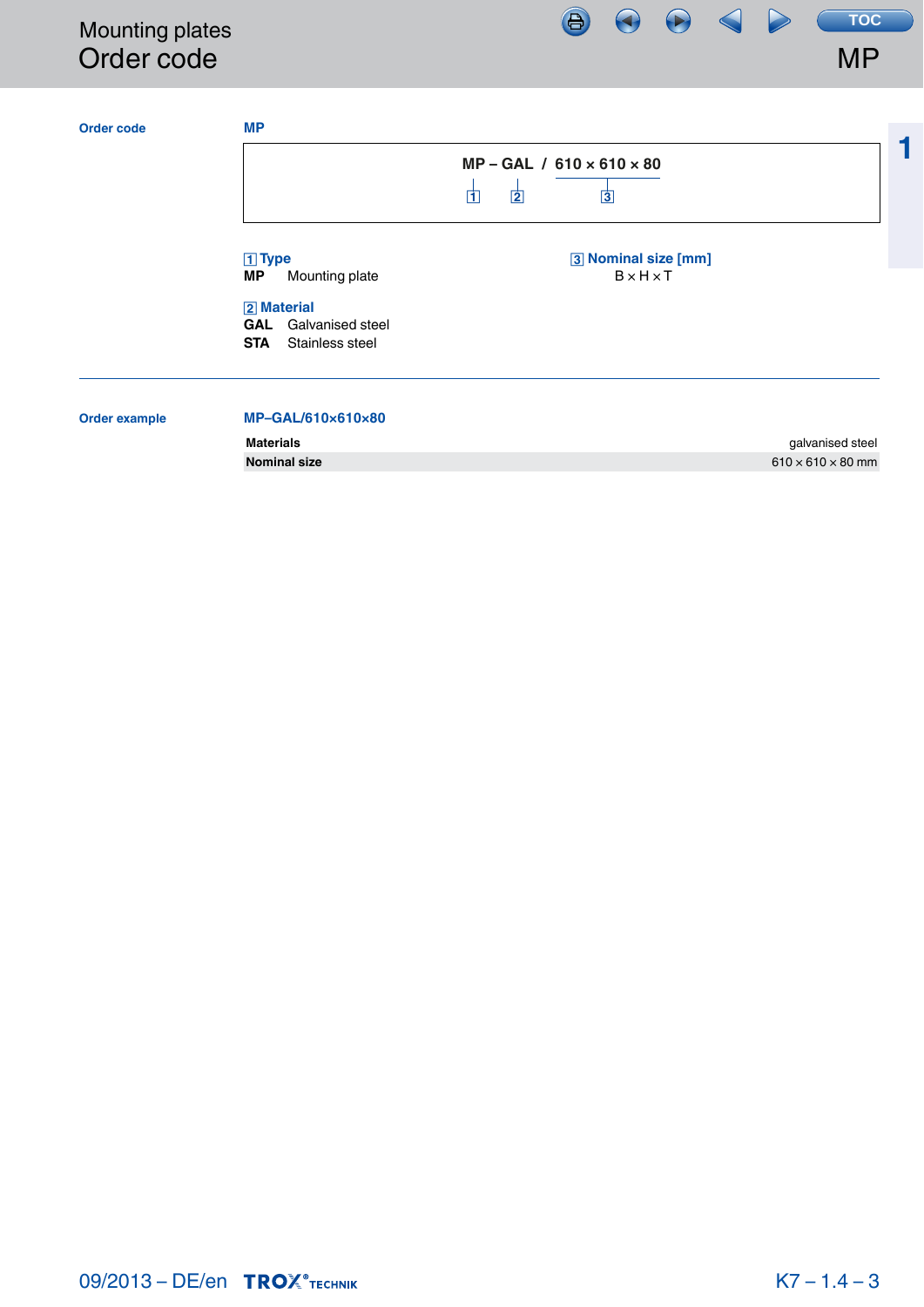# <span id="page-2-0"></span>Mounting plates Order code



₩

**Materials** galvanised steel **Nominal size** 610 × 610 × 610 × 610 × 610 × 610 × 610 × 610 × 610 × 610 × 610 × 610 × 610 × 610 × 610 × 610 × 610 × 610 × 60 mm

MP

**TOC**

**1**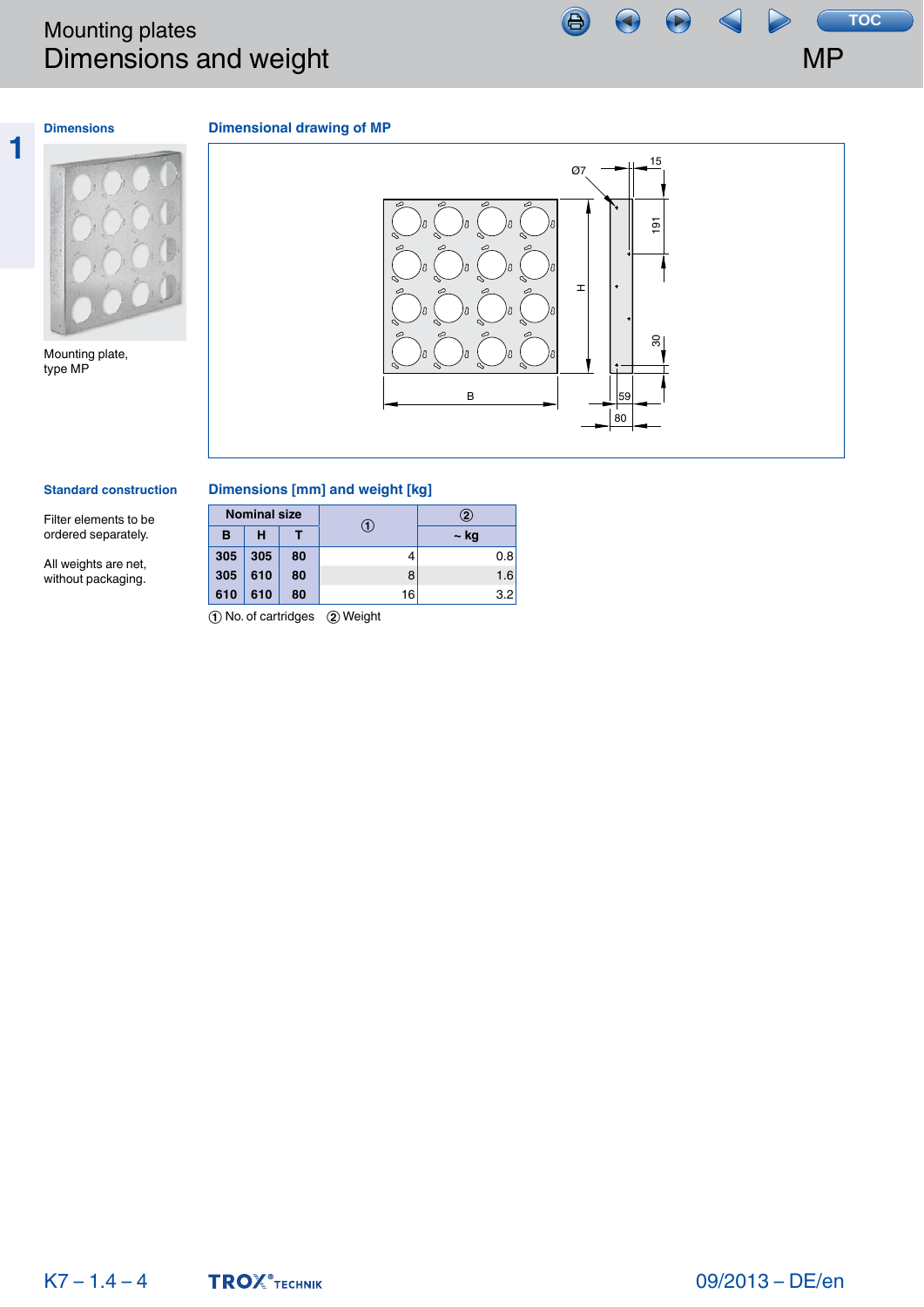# <span id="page-3-0"></span>Mounting plates Dimensions and weight



# **1 Dimensions**

# **Dimensional drawing of MP**



Mounting plate, type MP



## **Standard construction**

Filter elements to be ordered separately.

All weights are net, without packaging.

# **Dimensions [mm] and weight [kg]**

|     | <b>Nominal size</b> |    |    | 2    |  |
|-----|---------------------|----|----|------|--|
| в   | н                   |    |    | ~ kg |  |
| 305 | 305                 | 80 |    | 0.8  |  |
| 305 | 610                 | 80 | 8  | 1.6  |  |
| 610 | 610                 | 80 | 16 | 3.2  |  |

① No. of cartridges ② Weight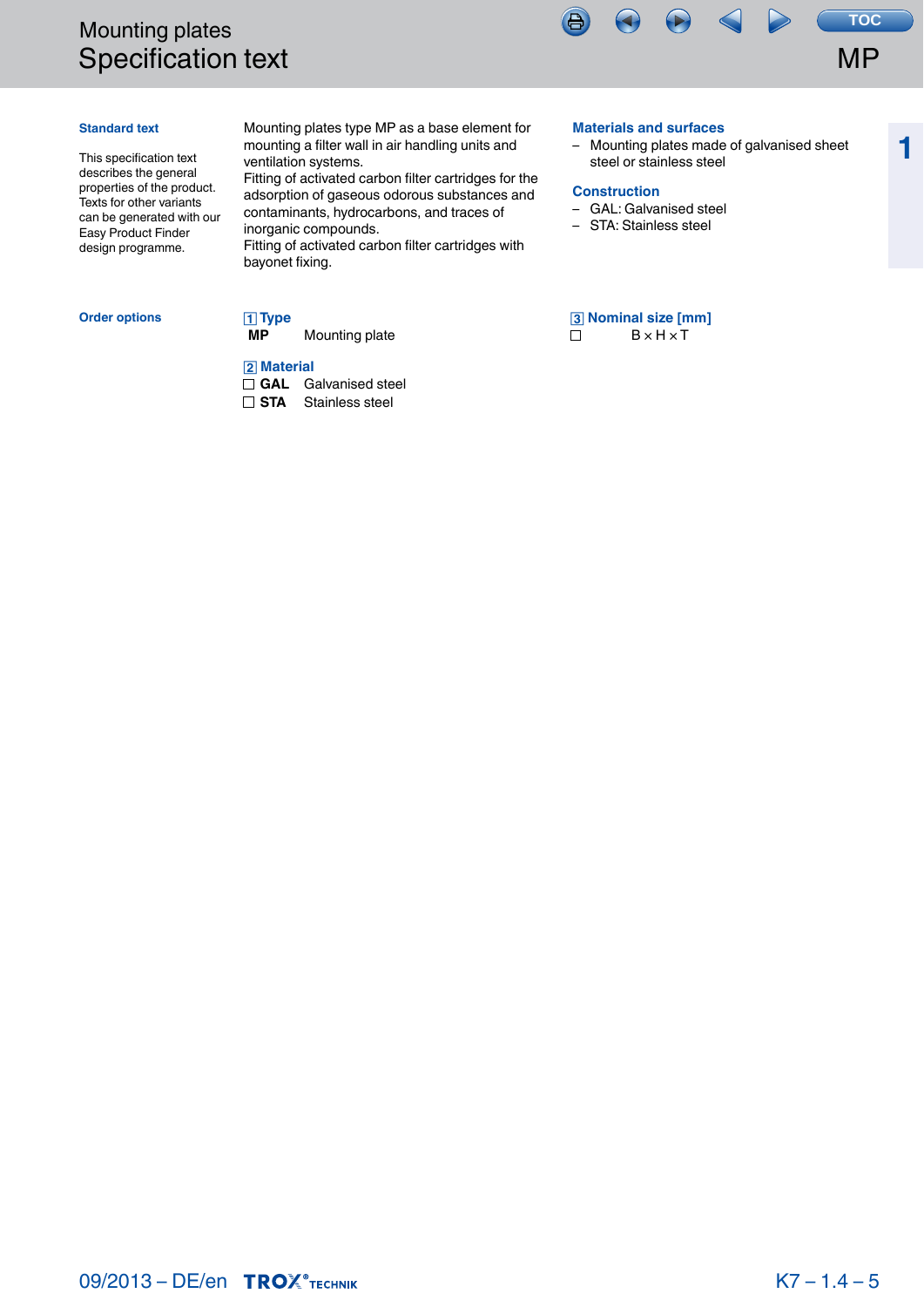# <span id="page-4-0"></span>Mounting plates Specification text



**1**

# **Standard text**

This specification text describes the general properties of the product. Texts for other variants can be generated with our Easy Product Finder design programme.

Mounting plates type MP as a base element for mounting a filter wall in air handling units and ventilation systems.

Fitting of activated carbon filter cartridges for the adsorption of gaseous odorous substances and contaminants, hydrocarbons, and traces of inorganic compounds.

Fitting of activated carbon filter cartridges with bayonet fixing.

# **Order options**

**MP** Mounting plate

# $\sqrt{2}$  Material

 **Type**

**GAL** Galvanised steel

**STA** Stainless steel

# **Materials and surfaces**

– Mounting plates made of galvanised sheet steel or stainless steel

# **Construction**

- GAL: Galvanised steel
- STA: Stainless steel

 **Nominal size [mm]**  $\Box$   $B \times H \times T$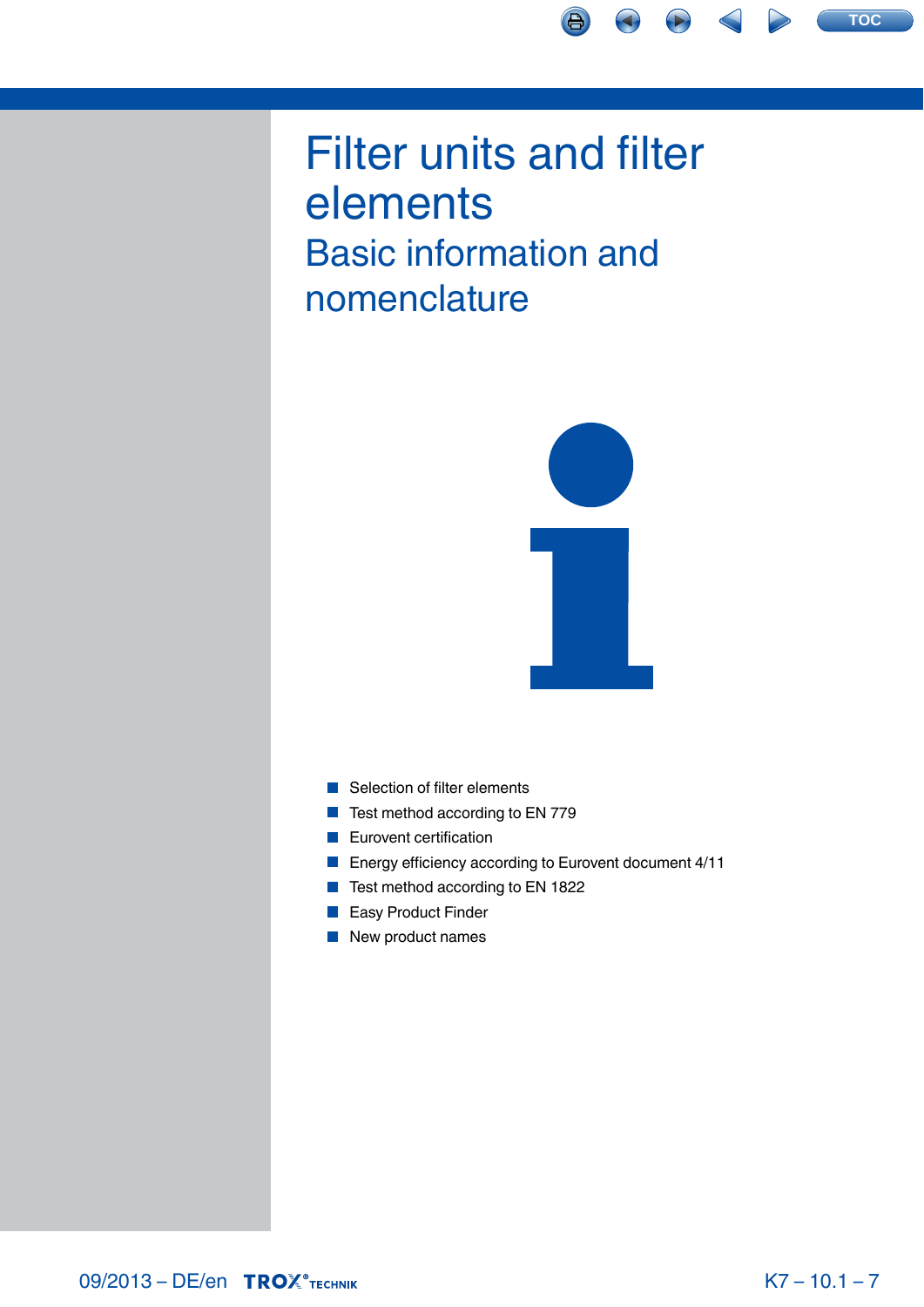<span id="page-5-0"></span>



- [Selection of filter elements](#page-6-0)
- [Test method according to EN 779](#page-7-0)
- **[Eurovent certification](#page-10-0)**
- **[Energy efficiency according to Eurovent document 4/11](#page-11-0)**
- [Test method according to EN 1822](#page-13-0)  $\mathcal{L}_{\mathcal{A}}$
- **[Easy Product Finder](#page-15-0)**
- [New product names](#page-17-0)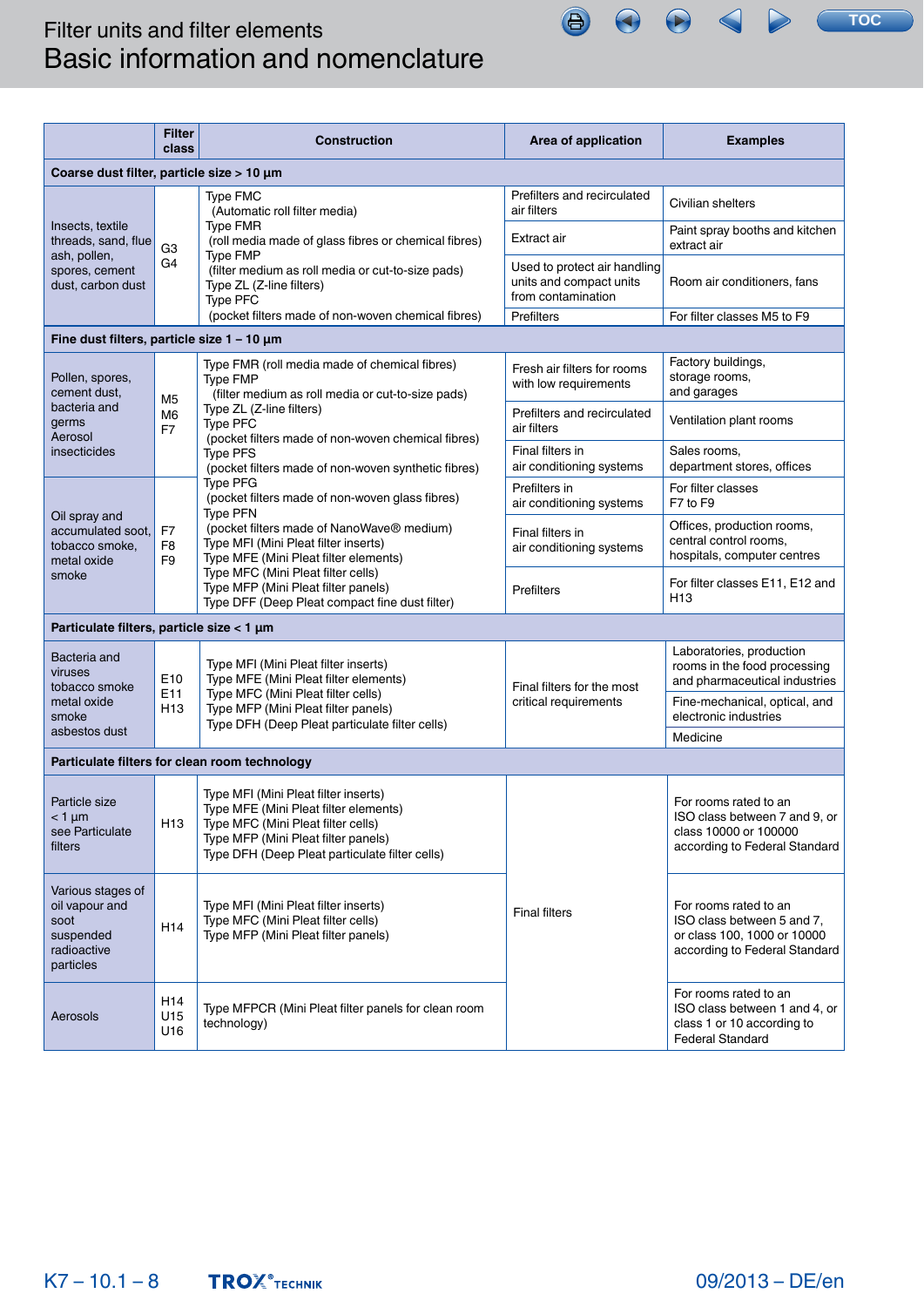<span id="page-6-0"></span>

|                                                                                      | <b>Filter</b><br>class                                                                                                               | <b>Construction</b>                                                                                                                                                                                          | Area of application                                                           | <b>Examples</b>                                                                                                     |
|--------------------------------------------------------------------------------------|--------------------------------------------------------------------------------------------------------------------------------------|--------------------------------------------------------------------------------------------------------------------------------------------------------------------------------------------------------------|-------------------------------------------------------------------------------|---------------------------------------------------------------------------------------------------------------------|
| Coarse dust filter, particle size > 10 µm                                            |                                                                                                                                      |                                                                                                                                                                                                              |                                                                               |                                                                                                                     |
|                                                                                      |                                                                                                                                      | <b>Type FMC</b><br>(Automatic roll filter media)                                                                                                                                                             | Prefilters and recirculated<br>air filters                                    | Civilian shelters                                                                                                   |
| Insects, textile<br>threads, sand, flue                                              | G <sub>3</sub>                                                                                                                       | <b>Type FMR</b><br>(roll media made of glass fibres or chemical fibres)<br>Type FMP                                                                                                                          | Extract air                                                                   | Paint spray booths and kitchen<br>extract air                                                                       |
| ash, pollen,<br>spores, cement<br>dust, carbon dust                                  | G4                                                                                                                                   | (filter medium as roll media or cut-to-size pads)<br>Type ZL (Z-line filters)<br>Type PFC                                                                                                                    | Used to protect air handling<br>units and compact units<br>from contamination | Room air conditioners, fans                                                                                         |
|                                                                                      |                                                                                                                                      | (pocket filters made of non-woven chemical fibres)                                                                                                                                                           | <b>Prefilters</b>                                                             | For filter classes M5 to F9                                                                                         |
| Fine dust filters, particle size $1 - 10 \mu m$                                      |                                                                                                                                      |                                                                                                                                                                                                              |                                                                               |                                                                                                                     |
| Pollen, spores,<br>cement dust,                                                      | M <sub>5</sub>                                                                                                                       | Type FMR (roll media made of chemical fibres)<br><b>Type FMP</b><br>(filter medium as roll media or cut-to-size pads)                                                                                        | Fresh air filters for rooms<br>with low requirements                          | Factory buildings,<br>storage rooms,<br>and garages                                                                 |
| bacteria and<br>germs<br>Aerosol                                                     | M6<br>F7                                                                                                                             | Type ZL (Z-line filters)<br><b>Type PFC</b><br>(pocket filters made of non-woven chemical fibres)                                                                                                            | Prefilters and recirculated<br>air filters                                    | Ventilation plant rooms                                                                                             |
| insecticides                                                                         |                                                                                                                                      | <b>Type PFS</b><br>(pocket filters made of non-woven synthetic fibres)                                                                                                                                       | Final filters in<br>air conditioning systems                                  | Sales rooms,<br>department stores, offices                                                                          |
|                                                                                      |                                                                                                                                      | Type PFG<br>(pocket filters made of non-woven glass fibres)<br><b>Type PFN</b>                                                                                                                               | Prefilters in<br>air conditioning systems                                     | For filter classes<br>F7 to F9                                                                                      |
| Oil spray and<br>accumulated soot.<br>tobacco smoke,<br>metal oxide                  | F7<br>F <sub>8</sub><br>F <sub>9</sub>                                                                                               | (pocket filters made of NanoWave® medium)<br>Type MFI (Mini Pleat filter inserts)<br>Type MFE (Mini Pleat filter elements)                                                                                   | Final filters in<br>air conditioning systems                                  | Offices, production rooms,<br>central control rooms,<br>hospitals, computer centres                                 |
| smoke                                                                                |                                                                                                                                      | Type MFC (Mini Pleat filter cells)<br>Type MFP (Mini Pleat filter panels)<br>Type DFF (Deep Pleat compact fine dust filter)                                                                                  | Prefilters                                                                    | For filter classes E11, E12 and<br>H <sub>13</sub>                                                                  |
| Particulate filters, particle size < 1 µm                                            |                                                                                                                                      |                                                                                                                                                                                                              |                                                                               |                                                                                                                     |
| Bacteria and<br>viruses<br>tobacco smoke                                             | E10                                                                                                                                  | Type MFI (Mini Pleat filter inserts)<br>Type MFE (Mini Pleat filter elements)                                                                                                                                | Final filters for the most                                                    | Laboratories, production<br>rooms in the food processing<br>and pharmaceutical industries                           |
| metal oxide<br>smoke                                                                 | E11<br>H <sub>13</sub>                                                                                                               | Type MFC (Mini Pleat filter cells)<br>Type MFP (Mini Pleat filter panels)<br>Type DFH (Deep Pleat particulate filter cells)                                                                                  | critical requirements                                                         | Fine-mechanical, optical, and<br>electronic industries                                                              |
| asbestos dust                                                                        |                                                                                                                                      |                                                                                                                                                                                                              |                                                                               | Medicine                                                                                                            |
|                                                                                      |                                                                                                                                      | Particulate filters for clean room technology                                                                                                                                                                |                                                                               |                                                                                                                     |
| Particle size<br>$<$ 1 µm<br>see Particulate<br>filters                              | H13                                                                                                                                  | Type MFI (Mini Pleat filter inserts)<br>Type MFE (Mini Pleat filter elements)<br>Type MFC (Mini Pleat filter cells)<br>Type MFP (Mini Pleat filter panels)<br>Type DFH (Deep Pleat particulate filter cells) |                                                                               | For rooms rated to an<br>ISO class between 7 and 9, or<br>class 10000 or 100000<br>according to Federal Standard    |
| Various stages of<br>oil vapour and<br>soot<br>suspended<br>radioactive<br>particles | Type MFI (Mini Pleat filter inserts)<br>Type MFC (Mini Pleat filter cells)<br>H <sub>14</sub><br>Type MFP (Mini Pleat filter panels) |                                                                                                                                                                                                              | <b>Final filters</b>                                                          | For rooms rated to an<br>ISO class between 5 and 7,<br>or class 100, 1000 or 10000<br>according to Federal Standard |
| Aerosols                                                                             | H14<br>U15<br>U16                                                                                                                    | Type MFPCR (Mini Pleat filter panels for clean room<br>technology)                                                                                                                                           |                                                                               | For rooms rated to an<br>ISO class between 1 and 4, or<br>class 1 or 10 according to<br><b>Federal Standard</b>     |

 $\bigoplus$ 

 $\bigodot$ 

 $\left( \blacktriangleright \right)$ 

**TOC**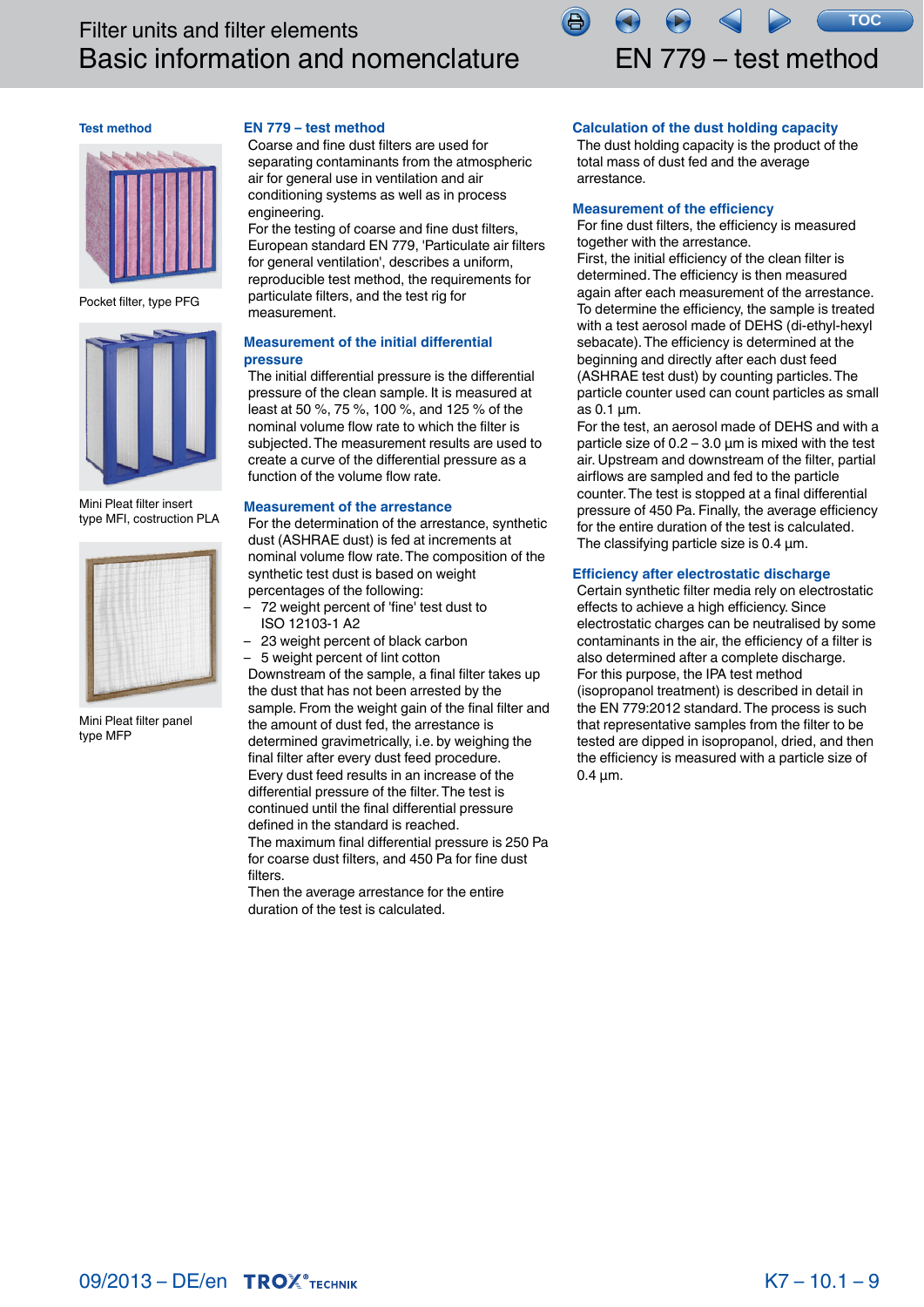

# <span id="page-7-0"></span>**Test method**



Pocket filter, type PFG



Mini Pleat filter insert type MFI, costruction PLA



Mini Pleat filter panel type MFP

# **EN 779 – test method**

Coarse and fine dust filters are used for separating contaminants from the atmospheric air for general use in ventilation and air conditioning systems as well as in process engineering.

For the testing of coarse and fine dust filters, European standard EN 779, 'Particulate air filters for general ventilation', describes a uniform, reproducible test method, the requirements for particulate filters, and the test rig for measurement.

# **Measurement of the initial differential pressure**

The initial differential pressure is the differential pressure of the clean sample. It is measured at least at 50 %, 75 %, 100 %, and 125 % of the nominal volume flow rate to which the filter is subjected. The measurement results are used to create a curve of the differential pressure as a function of the volume flow rate.

# **Measurement of the arrestance**

For the determination of the arrestance, synthetic dust (ASHRAE dust) is fed at increments at nominal volume flow rate. The composition of the synthetic test dust is based on weight percentages of the following:

- 72 weight percent of 'fine' test dust to ISO 12103-1 A2
- 23 weight percent of black carbon
- 5 weight percent of lint cotton

Downstream of the sample, a final filter takes up the dust that has not been arrested by the sample. From the weight gain of the final filter and the amount of dust fed, the arrestance is determined gravimetrically, i.e. by weighing the final filter after every dust feed procedure. Every dust feed results in an increase of the differential pressure of the filter. The test is continued until the final differential pressure defined in the standard is reached. The maximum final differential pressure is 250 Pa for coarse dust filters, and 450 Pa for fine dust filters.

Then the average arrestance for the entire duration of the test is calculated.

# **Calculation of the dust holding capacity**

The dust holding capacity is the product of the total mass of dust fed and the average arrestance.

## **Measurement of the efficiency**

For fine dust filters, the efficiency is measured together with the arrestance.

First, the initial efficiency of the clean filter is determined. The efficiency is then measured again after each measurement of the arrestance. To determine the efficiency, the sample is treated with a test aerosol made of DEHS (di-ethyl-hexyl sebacate). The efficiency is determined at the beginning and directly after each dust feed (ASHRAE test dust) by counting particles. The particle counter used can count particles as small as 0.1 μm.

For the test, an aerosol made of DEHS and with a particle size of  $0.2 - 3.0 \mu m$  is mixed with the test air. Upstream and downstream of the filter, partial airflows are sampled and fed to the particle counter. The test is stopped at a final differential pressure of 450 Pa. Finally, the average efficiency for the entire duration of the test is calculated. The classifying particle size is 0.4 μm.

### **Efficiency after electrostatic discharge**

Certain synthetic filter media rely on electrostatic effects to achieve a high efficiency. Since electrostatic charges can be neutralised by some contaminants in the air, the efficiency of a filter is also determined after a complete discharge. For this purpose, the IPA test method (isopropanol treatment) is described in detail in the EN 779:2012 standard. The process is such that representative samples from the filter to be tested are dipped in isopropanol, dried, and then the efficiency is measured with a particle size of 0.4 μm. For the product of the product of the same of the area of the area same of the area same of the area same of the area same of the area same of the distribution of the distribution of the distribution of the filter, partial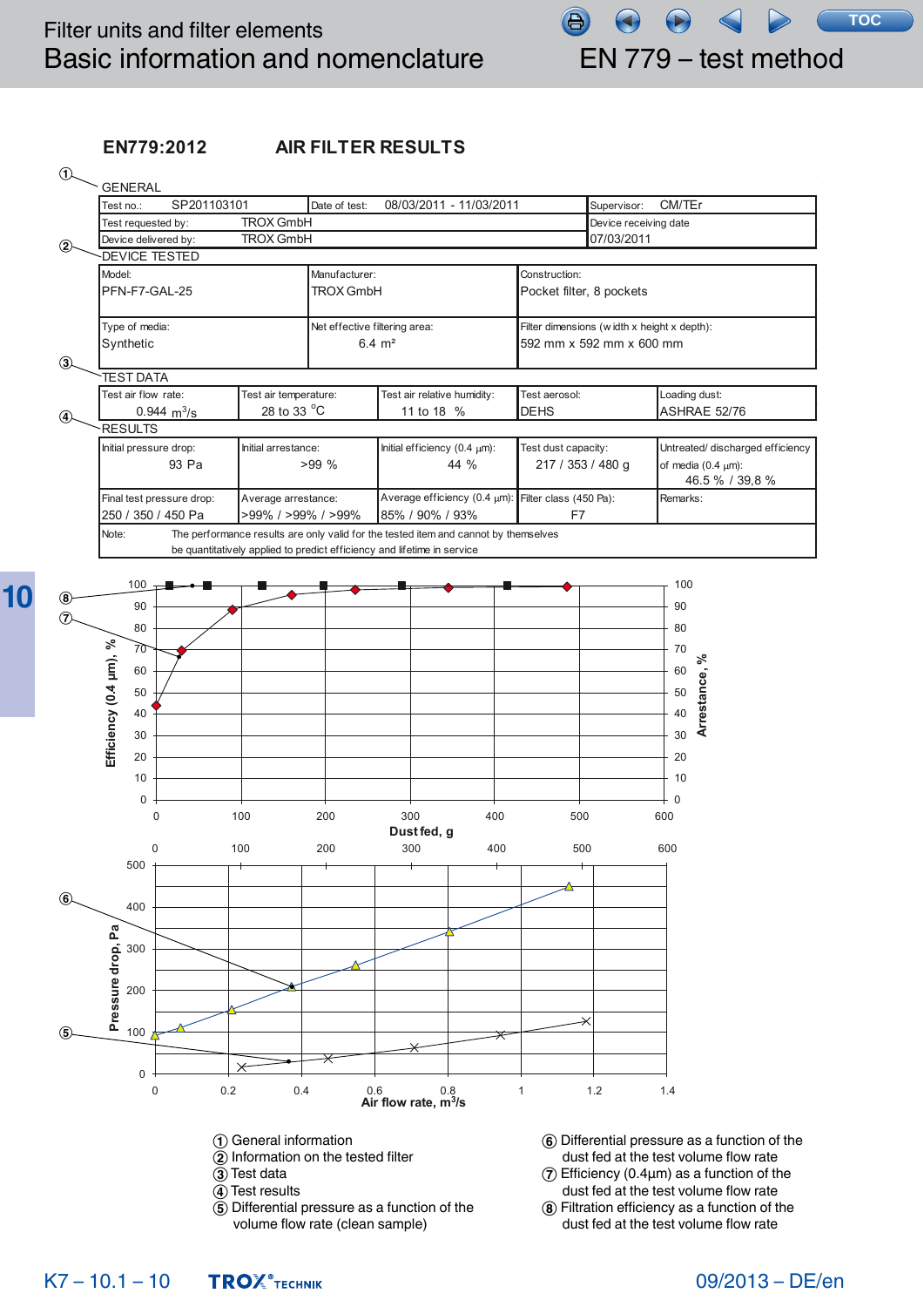**10**

# **EN779:2012 AIR FILTER RESULTS**



# 09/2013 – DE/en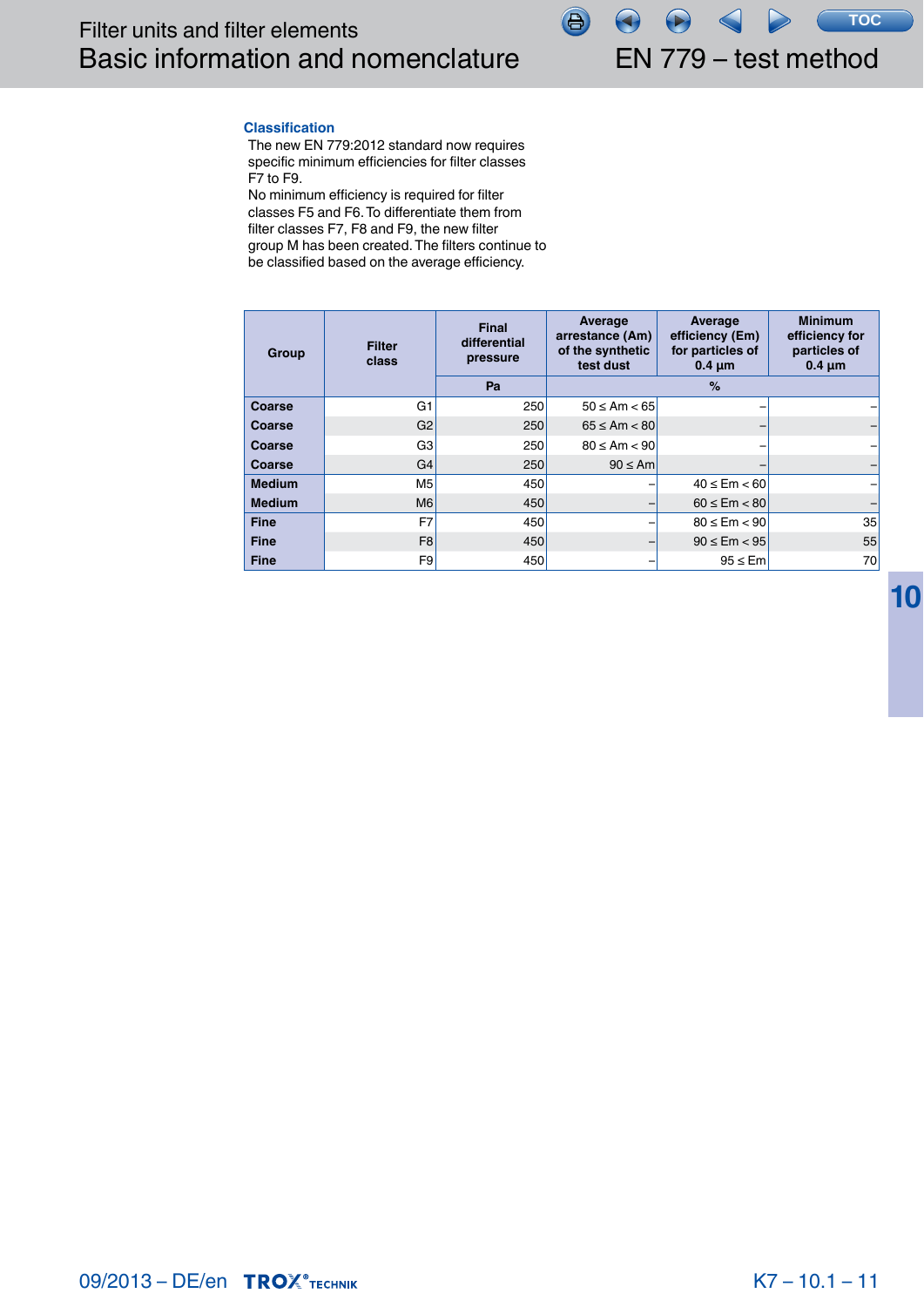

# **Classification**

The new EN 779:2012 standard now requires specific minimum efficiencies for filter classes F7 to F9.

No minimum efficiency is required for filter classes F5 and F6. To differentiate them from filter classes F7, F8 and F9, the new filter group M has been created. The filters continue to be classified based on the average efficiency.

| Group         | <b>Filter</b><br>class | Final<br>differential<br>pressure | Average<br>arrestance (Am)<br>of the synthetic<br>test dust | Average<br>efficiency (Em)<br>for particles of<br>$0.4 \mu m$ | <b>Minimum</b><br>efficiency for<br>particles of<br>$0.4 \mu m$ |
|---------------|------------------------|-----------------------------------|-------------------------------------------------------------|---------------------------------------------------------------|-----------------------------------------------------------------|
|               |                        | Pa                                |                                                             | $\frac{1}{2}$                                                 |                                                                 |
| Coarse        | G <sub>1</sub>         | 250                               | $50 \leq Am < 65$                                           |                                                               |                                                                 |
| Coarse        | G <sub>2</sub>         | 250                               | $65 \leq Am < 80$                                           |                                                               |                                                                 |
| Coarse        | G <sub>3</sub>         | 250                               | $80 \leq Am < 90$                                           |                                                               |                                                                 |
| Coarse        | G <sub>4</sub>         | 250                               | $90 \leq Am$                                                |                                                               |                                                                 |
| <b>Medium</b> | M <sub>5</sub>         | 450                               |                                                             | $40 \leq Em < 60$                                             |                                                                 |
| <b>Medium</b> | M <sub>6</sub>         | 450                               |                                                             | $60 \leq Em < 80$                                             |                                                                 |
| <b>Fine</b>   | F7                     | 450                               |                                                             | $80 \leq Em < 90$                                             | 35                                                              |
| <b>Fine</b>   | F <sub>8</sub>         | 450                               |                                                             | $90 \leq Em < 95$                                             | 55                                                              |
| <b>Fine</b>   | F <sub>9</sub>         | 450                               |                                                             | $95 \leq$ Em                                                  | 70                                                              |

**10**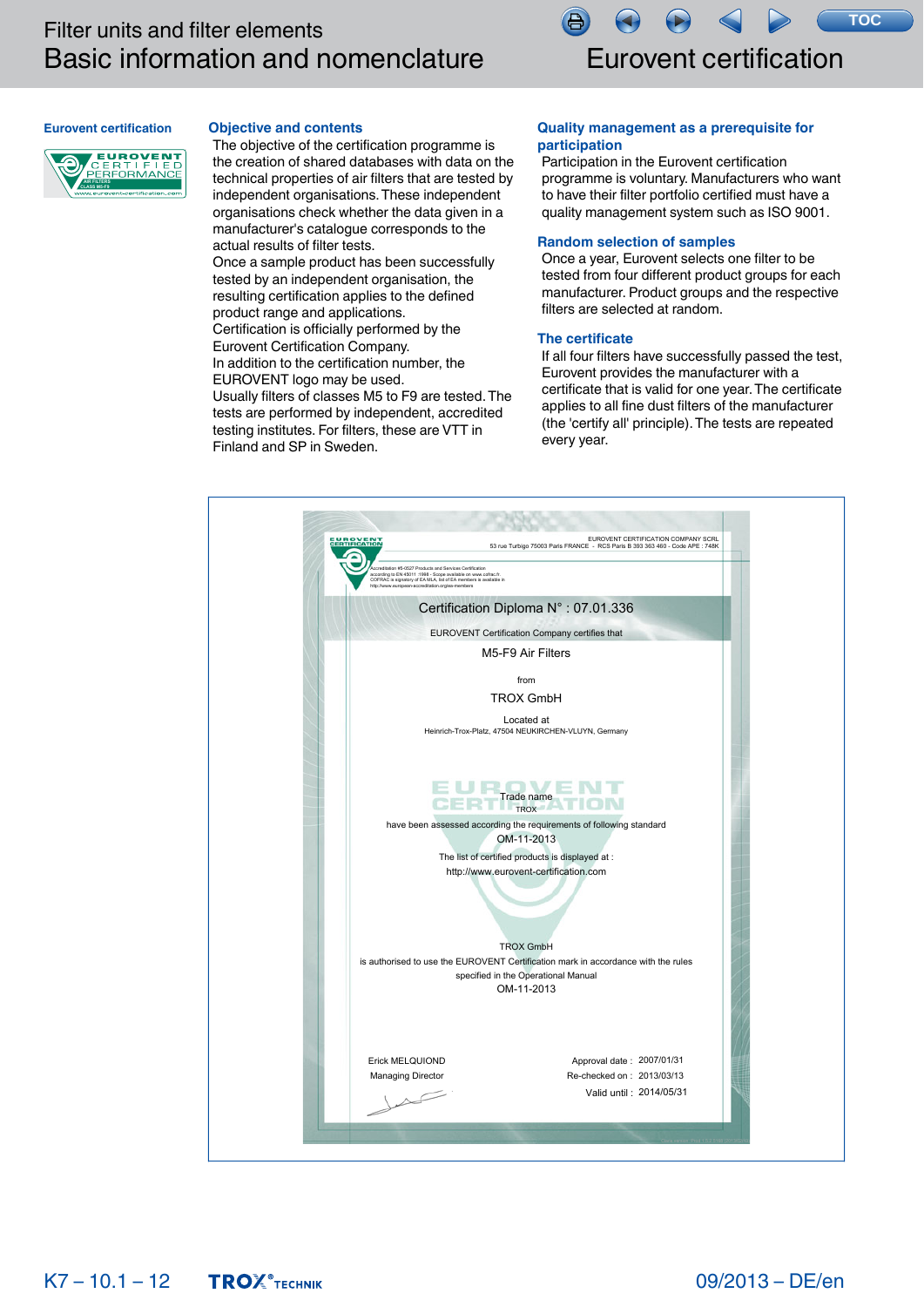

# <span id="page-10-0"></span>**Eurovent certification**

# **Objective and contents**

**ALANDRO ENTERED PERFORMANCE CLASS M5-F9**

# The objective of the certification programme is the creation of shared databases with data on the technical properties of air filters that are tested by independent organisations. These independent organisations check whether the data given in a manufacturer's catalogue corresponds to the actual results of filter tests.

Once a sample product has been successfully tested by an independent organisation, the resulting certification applies to the defined product range and applications. Certification is officially performed by the Eurovent Certification Company.

In addition to the certification number, the EUROVENT logo may be used.

Usually filters of classes M5 to F9 are tested. The tests are performed by independent, accredited testing institutes. For filters, these are VTT in Finland and SP in Sweden.

# **Quality management as a prerequisite for participation**

Participation in the Eurovent certification programme is voluntary. Manufacturers who want to have their filter portfolio certified must have a quality management system such as ISO 9001.

## **Random selection of samples**

Once a year, Eurovent selects one filter to be tested from four different product groups for each manufacturer. Product groups and the respective filters are selected at random.

# **The certificate**

If all four filters have successfully passed the test, Eurovent provides the manufacturer with a certificate that is valid for one year. The certificate applies to all fine dust filters of the manufacturer (the 'certify all' principle). The tests are repeated every year.

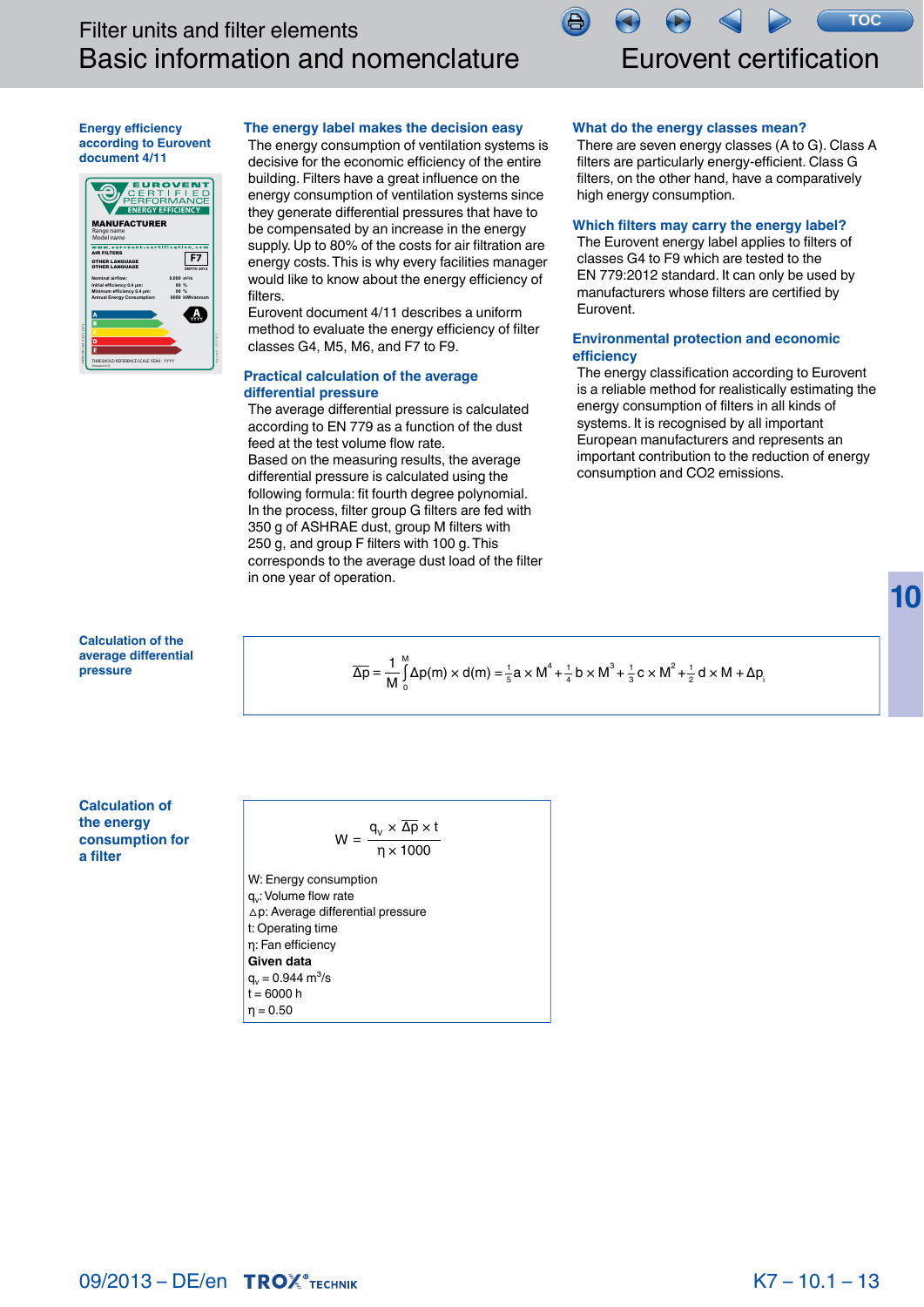

# Eurovent certification

## <span id="page-11-0"></span>**Energy efficiency according to Eurovent document 4/11**



# **The energy label makes the decision easy**

The energy consumption of ventilation systems is decisive for the economic efficiency of the entire building. Filters have a great influence on the energy consumption of ventilation systems since they generate differential pressures that have to be compensated by an increase in the energy supply. Up to 80% of the costs for air filtration are energy costs. This is why every facilities manager would like to know about the energy efficiency of filters.

Eurovent document 4/11 describes a uniform method to evaluate the energy efficiency of filter classes G4, M5, M6, and F7 to F9.

# **Practical calculation of the average differential pressure**

The average differential pressure is calculated according to EN 779 as a function of the dust feed at the test volume flow rate. Based on the measuring results, the average differential pressure is calculated using the following formula: fit fourth degree polynomial. In the process, filter group G filters are fed with 350 g of ASHRAE dust, group M filters with 250 g, and group F filters with 100 g. This corresponds to the average dust load of the filter in one year of operation.

# **What do the energy classes mean?**

吕

There are seven energy classes (A to G). Class A filters are particularly energy-efficient. Class G filters, on the other hand, have a comparatively high energy consumption.

# **Which filters may carry the energy label?**

The Eurovent energy label applies to filters of classes G4 to F9 which are tested to the EN 779:2012 standard. It can only be used by manufacturers whose filters are certified by Eurovent.

# **Environmental protection and economic efficiency**

The energy classification according to Eurovent is a reliable method for realistically estimating the energy consumption of filters in all kinds of systems. It is recognised by all important European manufacturers and represents an important contribution to the reduction of energy consumption and CO2 emissions.

**10**

**Calculation of the average differential pressure**

 $\overline{\Delta p} = \frac{1}{M} \int_{0}^{M} \Delta p(m) \times d(m) = \frac{1}{5} a \times M^{4} + \frac{1}{4} b \times M^{3} + \frac{1}{3} c \times M^{2} + \frac{1}{2} d \times M + \Delta p$ 0  $\frac{1}{5}$ a × M<sup>4</sup> +  $\frac{1}{4}$  b × M<sup>3</sup> +  $\frac{1}{3}$ c × M<sup>2</sup> +  $\frac{1}{2}$  d × M + Δp

**Calculation of the energy consumption for a filter**

$$
W = \frac{q_v \times \overline{\Delta p} \times t}{\eta \times 1000}
$$

W: Energy consumption g.: Volume flow rate △p: Average differential pressure

t: Operating time

$$
\eta
$$
: Fan efficiency

Given data  

$$
\begin{bmatrix} 0.5 & 0.944 \\ 0.5 & 0.944 \end{bmatrix}
$$

$$
q_v = 0.944
$$
  
t = 6000 h

 $η = 0.50$ 

$$
W = \frac{q_v \times \Delta p \times t}{\eta \times 1000}
$$

$$
f_{\rm{max}}(x)=\frac{1}{2}x^2+\frac{1}{2}x^2+\frac{1}{2}x^2+\frac{1}{2}x^2+\frac{1}{2}x^2+\frac{1}{2}x^2+\frac{1}{2}x^2+\frac{1}{2}x^2+\frac{1}{2}x^2+\frac{1}{2}x^2+\frac{1}{2}x^2+\frac{1}{2}x^2+\frac{1}{2}x^2+\frac{1}{2}x^2+\frac{1}{2}x^2+\frac{1}{2}x^2+\frac{1}{2}x^2+\frac{1}{2}x^2+\frac{1}{2}x^2+\frac{1}{2}x^2+\frac{1}{2}x^2+\frac{1}{2}x^2+\frac{1}{2}x^2+\frac{1}{2}x^2+\frac{1}{2}x^2+\frac{1}{2}x^2+\frac{1}{2}x^2+\frac{1}{2}x^2+\frac{1}{2}x^2+\frac{1}{2}x^2+\frac{1}{2}x^2+\frac{1}{2}x^2+\frac{1}{2}x^2+\frac{1}{2}x^2+\frac{1}{2}x^2+\frac{1}{2}x^2+\frac{1}{2}x^2+\frac{1}{2}x^2+\frac{1}{2}x^2+\frac{1}{2}x^2+\frac{1}{2}x^2+\frac{1}{2}x^2+\frac{1}{2}x^2+\frac{1}{2}x^2+\frac{1}{2}x^2+\frac{1}{2}x^2+\frac{1}{2}x^2+\frac{1}{2}x^2+\frac{1}{2}x^2+\frac{1}{2}x^2+\frac{1}{2}x^2+\frac{1}{2}x^2+\frac{1}{2}x^2+\frac{1}{2}x^2+\frac{1}{2}x^2+\frac{1}{2}x^2+\frac{1}{2}x^2+\frac{1}{2}x^2+\frac{1}{2}x^2+\frac{1}{2}x^2+\frac{1}{2}x^2+\frac{1}{2}x^2+\frac{1}{2}x^2+\frac{1}{2}x^2+\frac{1}{2}x^2+\frac{1}{2}x^2+\frac{1}{2}x^2+\frac{1}{2}x^2+\frac{1}{2}x^2+\frac{1}{2}x^2+\frac{1}{2}x^2+\frac{1}{2}x^2+\frac{1}{2}x^2+\frac{1}{2}x^2+\frac{1}{2}x^
$$

**09/2013 – DE/en TROX**®TECHNIK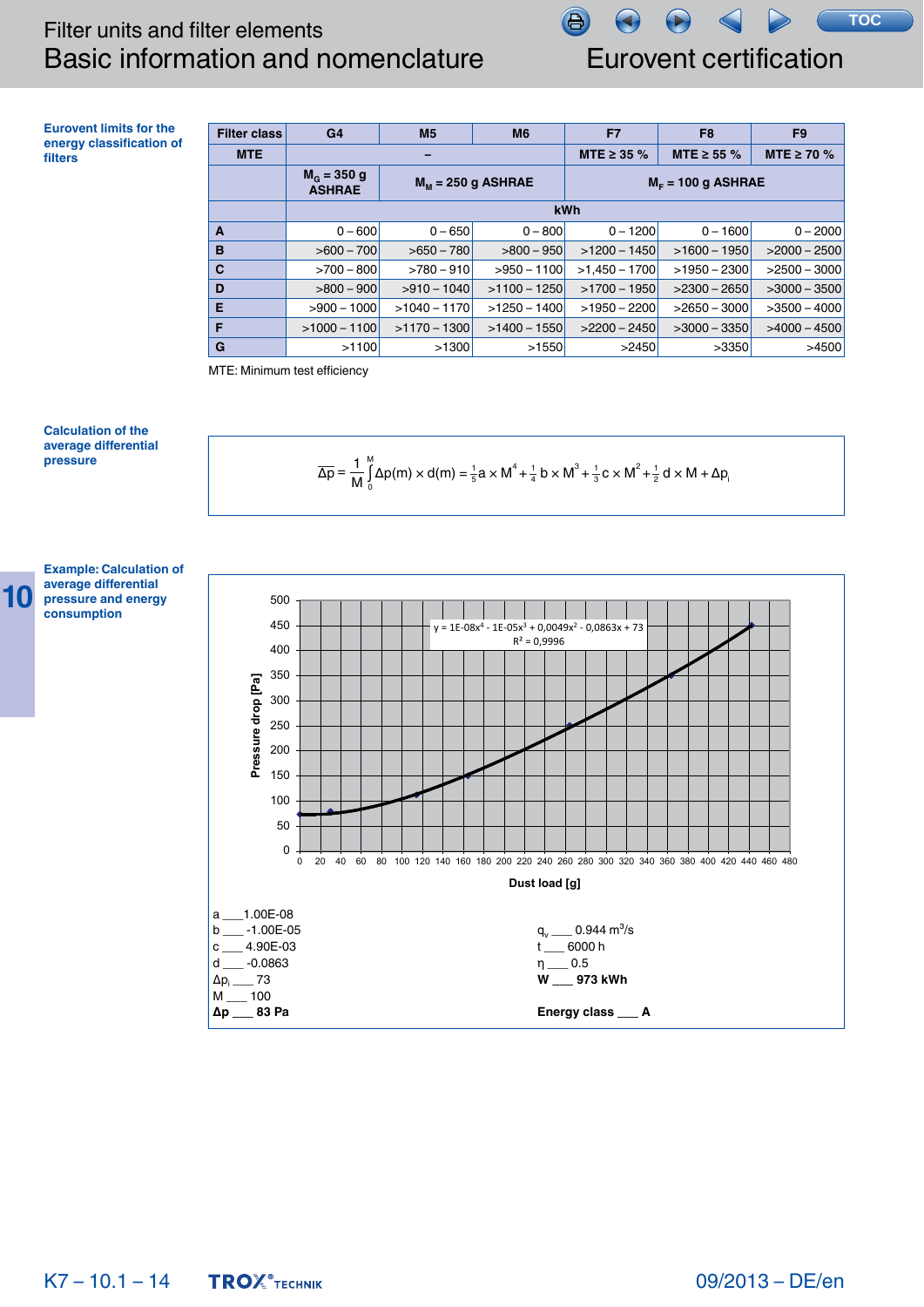**TOC**

**Eurovent limits for the energy classification of filters**

| <b>Filter class</b> | G <sub>4</sub>                       | M <sub>5</sub> | M <sub>6</sub>       | F7                  | F <sub>8</sub>  | F <sub>9</sub>  |  |  |  |
|---------------------|--------------------------------------|----------------|----------------------|---------------------|-----------------|-----------------|--|--|--|
| <b>MTE</b>          |                                      |                |                      | MTE $\geq$ 35 %     | MTE $\geq$ 55 % | MTE $\geq$ 70 % |  |  |  |
|                     | $M_{\odot}$ = 350 g<br><b>ASHRAE</b> |                | $M_M$ = 250 g ASHRAE | $MF = 100 g$ ASHRAE |                 |                 |  |  |  |
|                     |                                      |                | kWh                  |                     |                 |                 |  |  |  |
| A                   | $0 - 600$                            | $0 - 650$      | $0 - 800$            | $0 - 1200$          | $0 - 1600$      | $0 - 2000$      |  |  |  |
| B                   | $>600 - 700$                         | $>650-780$     | $>800-950$           | $>1200 - 1450$      | $>1600 - 1950$  | $>2000-2500$    |  |  |  |
| C                   | $>700-800$                           | $>780-910$     | $>950 - 1100$        | $>1.450 - 1700$     | $>1950 - 2300$  | $>2500-3000$    |  |  |  |
| D                   | $>800-900$                           | $>910-1040$    | $>1100 - 1250$       | $>1700 - 1950$      | $>2300-2650$    | $>3000 - 3500$  |  |  |  |
| E                   | $>900 - 1000$                        | $>1040 - 1170$ | $>1250 - 1400$       | $>1950 - 2200$      | $>2650-3000$    | $>3500 - 4000$  |  |  |  |
| F                   | $>1000 - 1100$                       | $>1170 - 1300$ | $>1400 - 1550$       | $>2200 - 2450$      | $>3000 - 3350$  | $>4000 - 4500$  |  |  |  |
| G                   | >1100                                | >1300          | >1550                | >2450               | >3350           | >4500           |  |  |  |

侣

MTE: Minimum test efficiency

# **Calculation of the average differential pressure**





**Example: Calculation of average differential pressure and energy consumption**

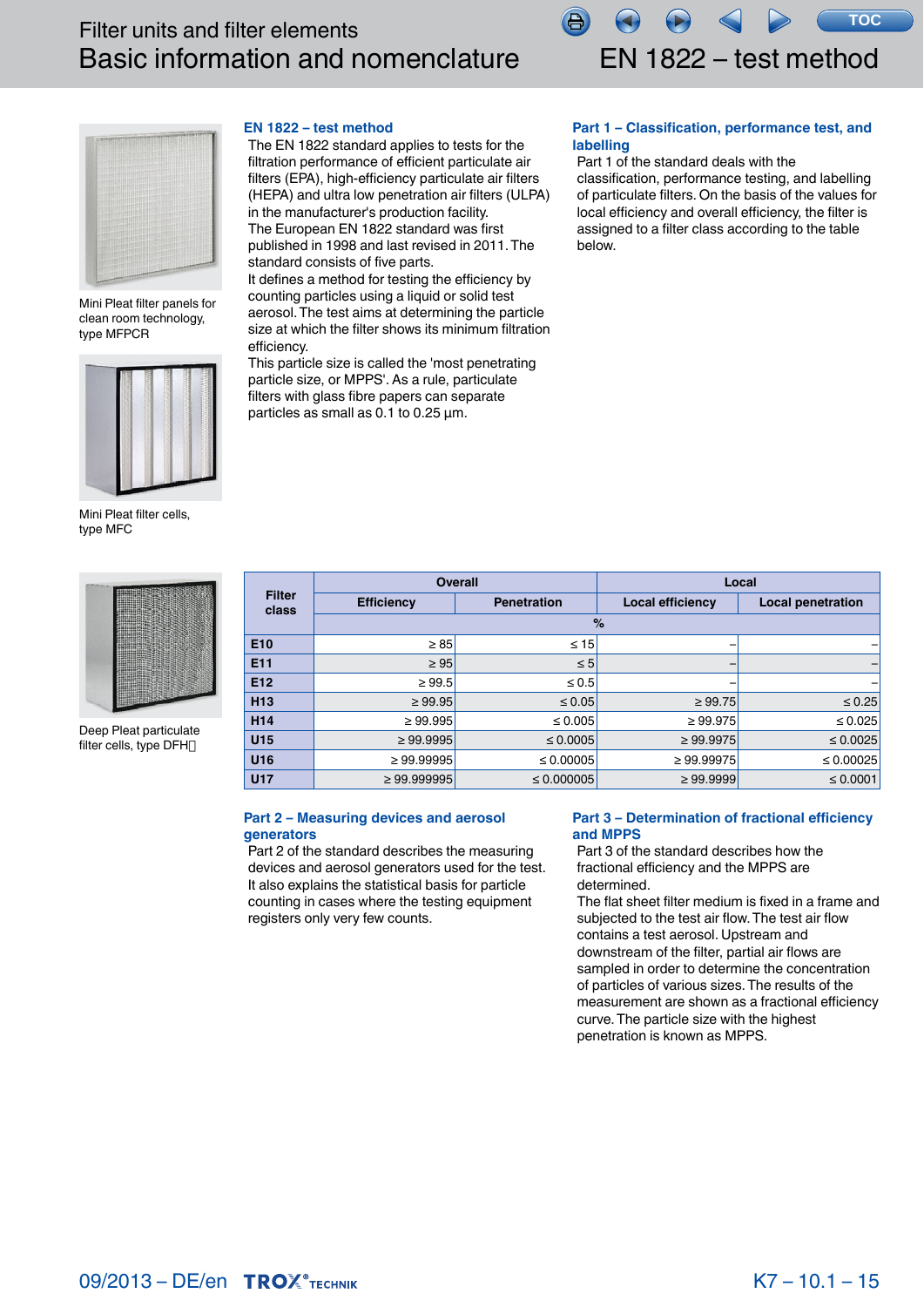

<span id="page-13-0"></span>

Mini Pleat filter panels for clean room technology, type MFPCR



Mini Pleat filter cells, type MFC



Deep Pleat particulate filter cells, type DFH

# **EN 1822 – test method**

The EN 1822 standard applies to tests for the filtration performance of efficient particulate air filters (EPA), high-efficiency particulate air filters (HEPA) and ultra low penetration air filters (ULPA) in the manufacturer's production facility. The European EN 1822 standard was first published in 1998 and last revised in 2011. The standard consists of five parts.

It defines a method for testing the efficiency by counting particles using a liquid or solid test aerosol. The test aims at determining the particle size at which the filter shows its minimum filtration efficiency.

This particle size is called the 'most penetrating particle size, or MPPS'. As a rule, particulate filters with glass fibre papers can separate particles as small as 0.1 to 0.25 μm.

# **Part 1 – Classification, performance test, and labelling**

Part 1 of the standard deals with the classification, performance testing, and labelling of particulate filters. On the basis of the values for local efficiency and overall efficiency, the filter is assigned to a filter class according to the table below.

|                        | <b>Overall</b>    |                    | Local            |                          |  |  |  |  |  |  |
|------------------------|-------------------|--------------------|------------------|--------------------------|--|--|--|--|--|--|
| <b>Filter</b><br>class | <b>Efficiency</b> | <b>Penetration</b> | Local efficiency | <b>Local penetration</b> |  |  |  |  |  |  |
|                        | $\%$              |                    |                  |                          |  |  |  |  |  |  |
| E <sub>10</sub>        | $\geq 85$         | $\leq 15$          |                  |                          |  |  |  |  |  |  |
| E <sub>11</sub>        | $\geq 95$         | $\leq 5$           |                  |                          |  |  |  |  |  |  |
| E <sub>12</sub>        | $\geq 99.5$       | $\leq 0.5$         |                  |                          |  |  |  |  |  |  |
| H <sub>13</sub>        | $\geq 99.95$      | $\leq 0.05$        | $\geq 99.75$     | $\leq 0.25$              |  |  |  |  |  |  |
| H <sub>14</sub>        | $\geq 99.995$     | $\leq 0.005$       | $\geq 99.975$    | $\leq 0.025$             |  |  |  |  |  |  |
| U <sub>15</sub>        | $\geq 99.9995$    | $\leq 0.0005$      | $\geq 99.9975$   | $\leq 0.0025$            |  |  |  |  |  |  |
| U16                    | $\geq 99.99995$   | $\leq 0.00005$     | $\geq 99.99975$  | $\leq 0.00025$           |  |  |  |  |  |  |
| <b>U17</b>             | $\geq 99.999995$  | $\leq 0.000005$    | $\geq 99.9999$   | $\leq 0.0001$            |  |  |  |  |  |  |

# **Part 2 – Measuring devices and aerosol generators**

Part 2 of the standard describes the measuring devices and aerosol generators used for the test. It also explains the statistical basis for particle counting in cases where the testing equipment registers only very few counts.

# **Part 3 – Determination of fractional efficiency and MPPS**

Part 3 of the standard describes how the fractional efficiency and the MPPS are determined.

The flat sheet filter medium is fixed in a frame and subjected to the test air flow. The test air flow contains a test aerosol. Upstream and downstream of the filter, partial air flows are sampled in order to determine the concentration of particles of various sizes. The results of the measurement are shown as a fractional efficiency curve. The particle size with the highest penetration is known as MPPS.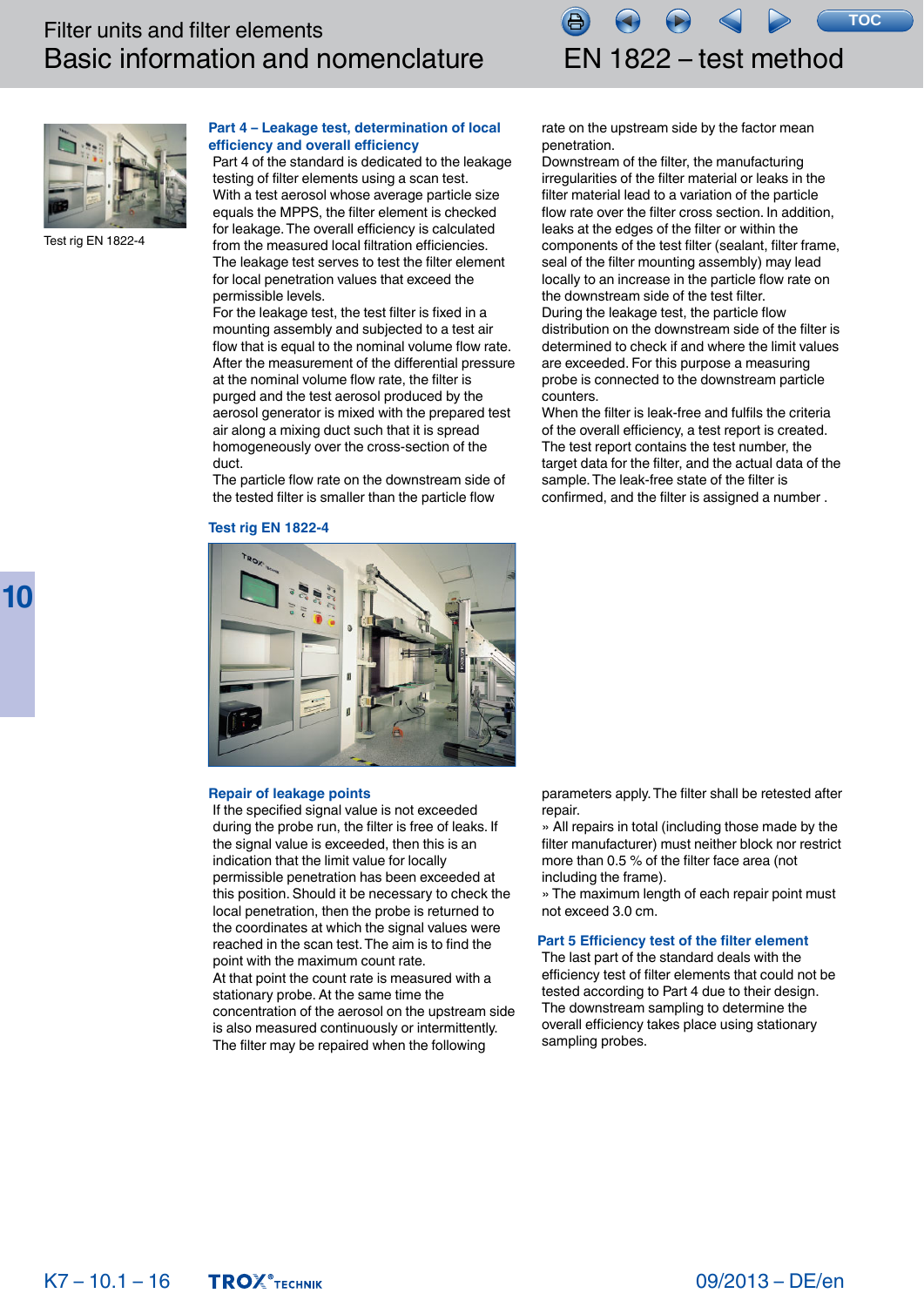**TOC**



Test rig EN 1822-4

# **Part 4 – Leakage test, determination of local efficiency and overall efficiency**

Part 4 of the standard is dedicated to the leakage testing of filter elements using a scan test. With a test aerosol whose average particle size equals the MPPS, the filter element is checked for leakage. The overall efficiency is calculated from the measured local filtration efficiencies. The leakage test serves to test the filter element for local penetration values that exceed the permissible levels.

For the leakage test, the test filter is fixed in a mounting assembly and subjected to a test air flow that is equal to the nominal volume flow rate. After the measurement of the differential pressure at the nominal volume flow rate, the filter is purged and the test aerosol produced by the aerosol generator is mixed with the prepared test air along a mixing duct such that it is spread homogeneously over the cross-section of the duct.

The particle flow rate on the downstream side of the tested filter is smaller than the particle flow

# **Test rig EN 1822-4**

rate on the upstream side by the factor mean penetration.

Downstream of the filter, the manufacturing irregularities of the filter material or leaks in the filter material lead to a variation of the particle flow rate over the filter cross section. In addition, leaks at the edges of the filter or within the components of the test filter (sealant, filter frame, seal of the filter mounting assembly) may lead locally to an increase in the particle flow rate on the downstream side of the test filter. During the leakage test, the particle flow distribution on the downstream side of the filter is determined to check if and where the limit values are exceeded. For this purpose a measuring probe is connected to the downstream particle counters.

When the filter is leak-free and fulfils the criteria of the overall efficiency, a test report is created. The test report contains the test number, the target data for the filter, and the actual data of the sample. The leak-free state of the filter is confirmed, and the filter is assigned a number .



## **Repair of leakage points**

If the specified signal value is not exceeded during the probe run, the filter is free of leaks. If the signal value is exceeded, then this is an indication that the limit value for locally permissible penetration has been exceeded at this position. Should it be necessary to check the local penetration, then the probe is returned to the coordinates at which the signal values were reached in the scan test. The aim is to find the point with the maximum count rate. At that point the count rate is measured with a stationary probe. At the same time the concentration of the aerosol on the upstream side is also measured continuously or intermittently. The filter may be repaired when the following

parameters apply. The filter shall be retested after repair.

» All repairs in total (including those made by the filter manufacturer) must neither block nor restrict more than 0.5 % of the filter face area (not including the frame).

» The maximum length of each repair point must not exceed 3.0 cm.

# **Part 5 Efficiency test of the filter element**

The last part of the standard deals with the efficiency test of filter elements that could not be tested according to Part 4 due to their design. The downstream sampling to determine the overall efficiency takes place using stationary sampling probes.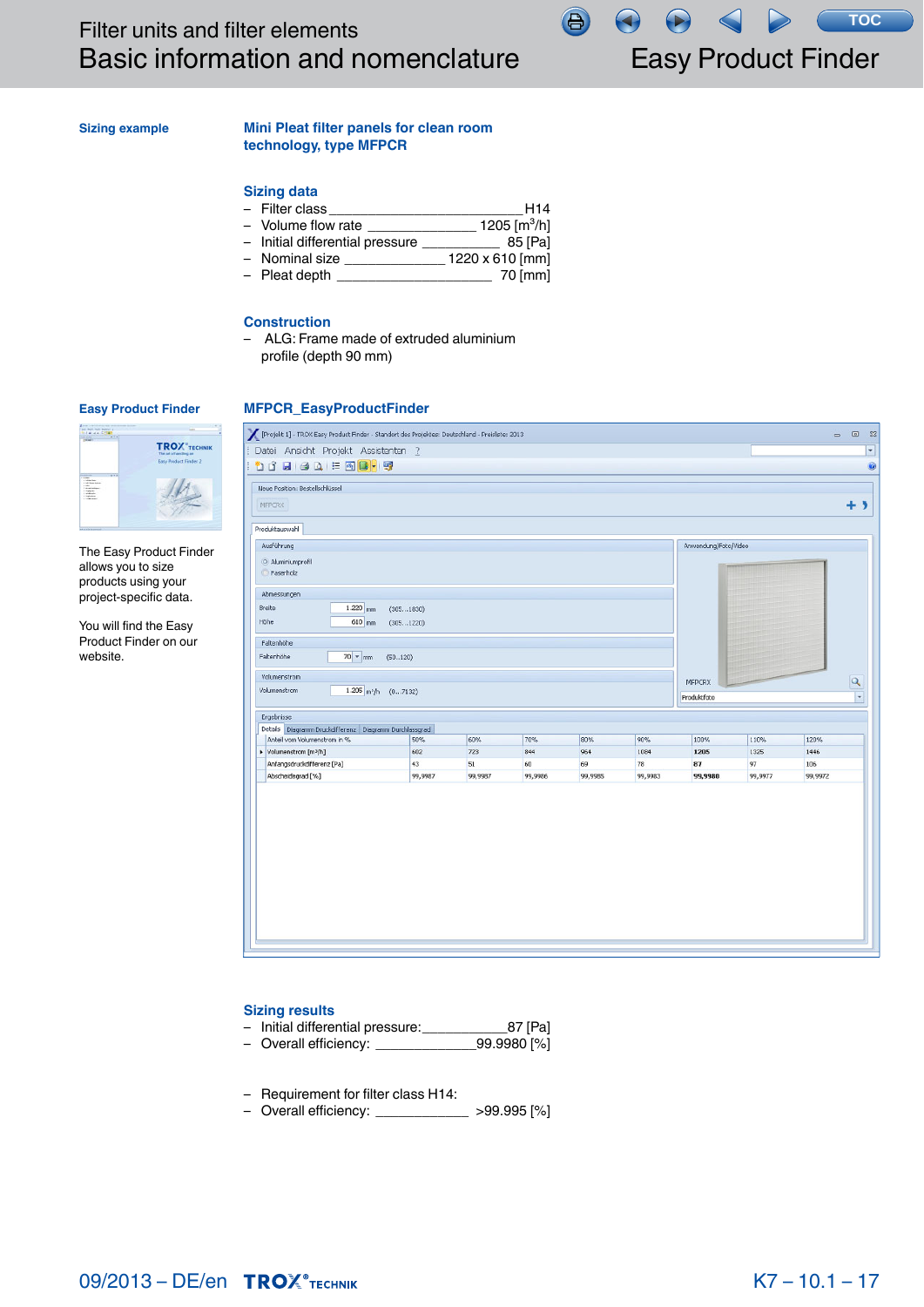<span id="page-15-0"></span>**Sizing example**

# **Mini Pleat filter panels for clean room technology, type MFPCR**

# **Sizing data**

- Filter class \_\_\_\_\_\_\_\_\_\_\_\_\_\_\_\_\_\_\_\_\_\_\_\_\_H14 – Volume flow rate  $\frac{1205 \text{ [m}^3/\text{h}]}{200 \text{ [m}^3/\text{h}]}$
- Initial differential pressure \_\_\_\_\_\_\_\_\_\_ 85 [Pa]
- Nominal size \_\_\_\_\_\_\_\_\_\_\_\_\_ 1220 x 610 [mm]
- Pleat depth \_\_\_\_\_\_\_\_\_\_\_\_\_\_\_\_\_\_\_\_ 70 [mm]

## **Construction**

– ALG: Frame made of extruded aluminium profile (depth 90 mm)

## **Easy Product Finder**



The Easy Product Finder allows you to size products using your project-specific data.

You will find the Easy Product Finder on our website.



 $\bigoplus$ 

## **Sizing results**

- Initial differential pressure: \_\_\_\_\_\_\_\_\_\_\_\_87 [Pa]<br>Overall efficiency: \_\_\_\_\_\_\_\_\_\_\_\_\_99.9980 [%]
- Overall efficiency: \_
- Requirement for filter class H14:
- Overall efficiency: \_\_\_\_\_\_\_\_\_\_\_\_ >99.995 [%]

Easy Product Finder

**TOC**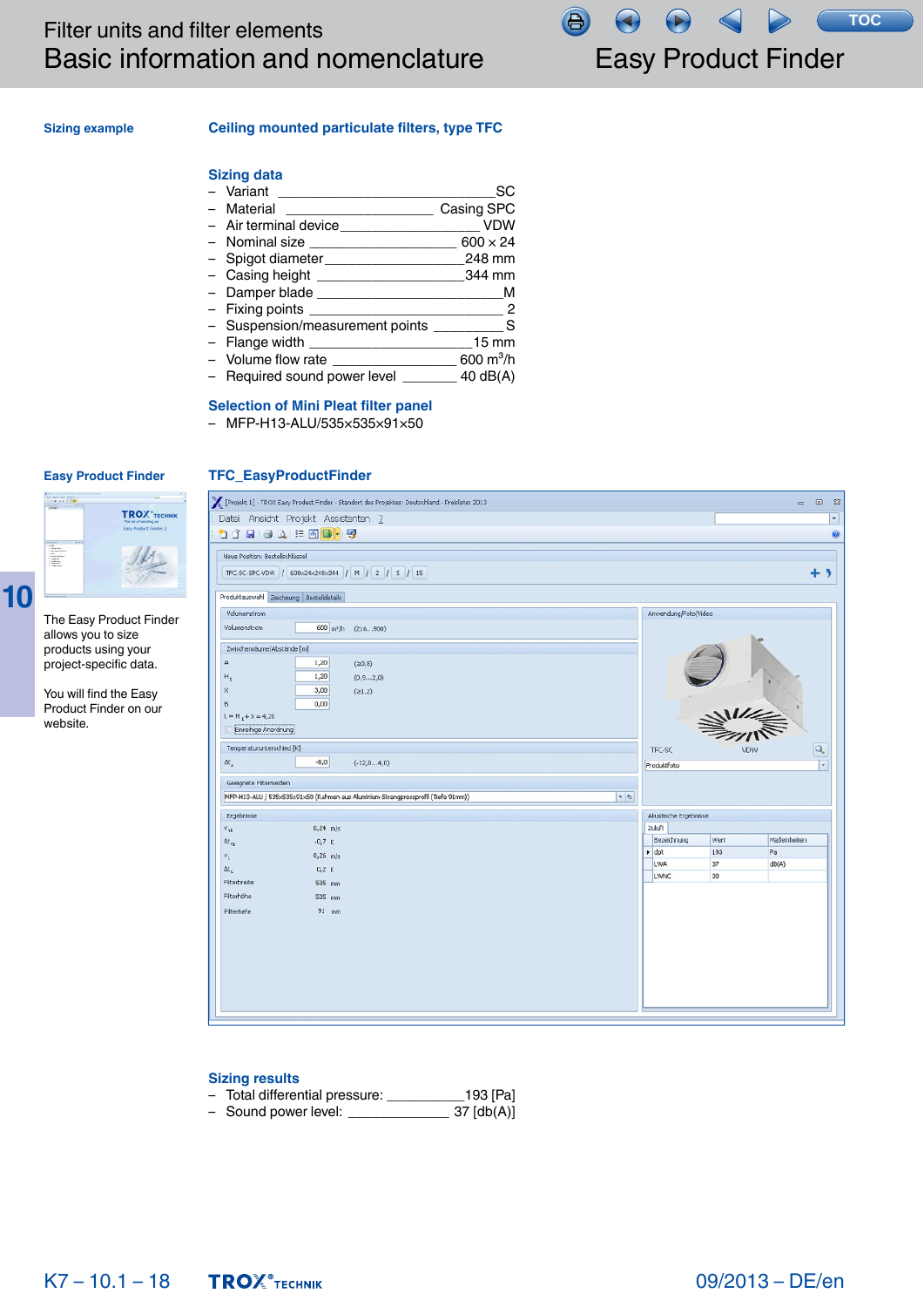**TOC**合

# **Sizing example**

# **Ceiling mounted particulate filters, type TFC**

# **Sizing data**

|                                                     | SC                         |
|-----------------------------------------------------|----------------------------|
| - Material                                          | Casing SPC                 |
| - Air terminal device______________                 | <b>VDW</b>                 |
| - Nominal size ___________________                  | $600 \times 24$            |
| - Spigot diameter                                   | 248 mm                     |
| - Casing height _____________________________344 mm |                            |
|                                                     | M                          |
|                                                     | $\sim$ 2                   |
| - Suspension/measurement points ___________ S       |                            |
|                                                     | $15 \text{ mm}$            |
| - Volume flow rate                                  | 600 $\,$ m <sup>3</sup> /h |
| - Required sound power level _______                | 40 dB(A)                   |

# **Selection of Mini Pleat filter panel**

– MFP-H13-ALU/535×535×91×50

**TFC\_EasyProductFinder**

# **Easy Product Finder**



The Easy Product Finder allows you to size products using your project-specific data.

You will find the Easy Product Finder on our website.

| [Projekt 1] - TROX Easy Product Finder - Standort des Projektes: Deutschland - Preisliste: 2013 |                          |                                                                                                                                                                                                                                                                                                                                                                                                                 | $\qquad \qquad \blacksquare$ | 回 83 |
|-------------------------------------------------------------------------------------------------|--------------------------|-----------------------------------------------------------------------------------------------------------------------------------------------------------------------------------------------------------------------------------------------------------------------------------------------------------------------------------------------------------------------------------------------------------------|------------------------------|------|
| Datei Ansicht Projekt Assistenten ?                                                             |                          |                                                                                                                                                                                                                                                                                                                                                                                                                 |                              | ٠    |
| <b>DILEATER</b>                                                                                 |                          |                                                                                                                                                                                                                                                                                                                                                                                                                 |                              | 0    |
|                                                                                                 |                          |                                                                                                                                                                                                                                                                                                                                                                                                                 |                              |      |
| Neue Position: Bestellschlüssel                                                                 |                          |                                                                                                                                                                                                                                                                                                                                                                                                                 |                              |      |
| TFC-SC-SPC-VDW / 600x24x248x344 / M / 2 / 5 / 15                                                |                          |                                                                                                                                                                                                                                                                                                                                                                                                                 | + >                          |      |
| Produktauswahl Zeichnung Bestelldetails                                                         |                          |                                                                                                                                                                                                                                                                                                                                                                                                                 |                              |      |
| Volumenstrom                                                                                    | Anwendung/Foto/Video     |                                                                                                                                                                                                                                                                                                                                                                                                                 |                              |      |
| Volumenstrom<br>600 m <sup>2</sup> /h (216900)                                                  |                          |                                                                                                                                                                                                                                                                                                                                                                                                                 |                              |      |
| Zwischenräume/Abstände [m]                                                                      |                          |                                                                                                                                                                                                                                                                                                                                                                                                                 |                              |      |
| А<br>1,20<br>(20, 8)                                                                            |                          |                                                                                                                                                                                                                                                                                                                                                                                                                 |                              |      |
| 1,20<br>$H_1$<br>(0, 92, 0)                                                                     |                          |                                                                                                                                                                                                                                                                                                                                                                                                                 |                              |      |
| 3,00<br>X<br>(21,2)                                                                             |                          |                                                                                                                                                                                                                                                                                                                                                                                                                 |                              |      |
| 0,00<br>B                                                                                       |                          |                                                                                                                                                                                                                                                                                                                                                                                                                 |                              |      |
| $L = H_1 + X = 4,20$                                                                            |                          |                                                                                                                                                                                                                                                                                                                                                                                                                 |                              |      |
| Einreihige Anordnung                                                                            |                          | $\frac{1}{\frac{1}{\sqrt{2}}}\frac{1}{\sqrt{2}}\frac{1}{\sqrt{2}}\frac{1}{\sqrt{2}}\frac{1}{\sqrt{2}}\frac{1}{\sqrt{2}}\frac{1}{\sqrt{2}}\frac{1}{\sqrt{2}}\frac{1}{\sqrt{2}}\frac{1}{\sqrt{2}}\frac{1}{\sqrt{2}}\frac{1}{\sqrt{2}}\frac{1}{\sqrt{2}}\frac{1}{\sqrt{2}}\frac{1}{\sqrt{2}}\frac{1}{\sqrt{2}}\frac{1}{\sqrt{2}}\frac{1}{\sqrt{2}}\frac{1}{\sqrt{2}}\frac{1}{\sqrt{2}}\frac{1}{\sqrt{2}}\frac{1}{$ |                              |      |
| Temperaturunterschied [K]                                                                       | TFC-SC                   |                                                                                                                                                                                                                                                                                                                                                                                                                 | $\overline{Q}$               |      |
| $-8,0$<br>$\Delta t_z$<br>$(-12,04,0)$                                                          | Produktfoto              |                                                                                                                                                                                                                                                                                                                                                                                                                 |                              | ٠    |
| Geeignete Filtermedien                                                                          |                          |                                                                                                                                                                                                                                                                                                                                                                                                                 |                              |      |
| $-5$<br>MFP-H13-ALU / 535x535x91x50 (Rahmen aus Aluminium-Strangpressprofil (Tiefe 91mm))       |                          |                                                                                                                                                                                                                                                                                                                                                                                                                 |                              |      |
| Ergebnisse                                                                                      | Akustische Ergebnisse    |                                                                                                                                                                                                                                                                                                                                                                                                                 |                              |      |
| $0,24$ m/s<br>$v_{nt}$                                                                          | Zuluft                   |                                                                                                                                                                                                                                                                                                                                                                                                                 |                              |      |
| $\Delta t_{\rm nt}$<br>$-0,7$ K                                                                 | Bezeichnung              | Wert                                                                                                                                                                                                                                                                                                                                                                                                            | Maßeinheiten                 |      |
| $0,26$ m/s<br>$V_L$                                                                             | $\rightarrow$ dpt<br>LWA | 193<br>37                                                                                                                                                                                                                                                                                                                                                                                                       | Pa<br>dB(A)                  |      |
| Δt <sub>ι</sub><br>$0,2$ K                                                                      | <b>LWNC</b>              | 30                                                                                                                                                                                                                                                                                                                                                                                                              |                              |      |
| Filterbreite<br>535 mm                                                                          |                          |                                                                                                                                                                                                                                                                                                                                                                                                                 |                              |      |
| Filterhöhe<br>535 mm                                                                            |                          |                                                                                                                                                                                                                                                                                                                                                                                                                 |                              |      |
| $91$ mm<br>Filtertiefe                                                                          |                          |                                                                                                                                                                                                                                                                                                                                                                                                                 |                              |      |
|                                                                                                 |                          |                                                                                                                                                                                                                                                                                                                                                                                                                 |                              |      |
|                                                                                                 |                          |                                                                                                                                                                                                                                                                                                                                                                                                                 |                              |      |
|                                                                                                 |                          |                                                                                                                                                                                                                                                                                                                                                                                                                 |                              |      |
|                                                                                                 |                          |                                                                                                                                                                                                                                                                                                                                                                                                                 |                              |      |
|                                                                                                 |                          |                                                                                                                                                                                                                                                                                                                                                                                                                 |                              |      |
|                                                                                                 |                          |                                                                                                                                                                                                                                                                                                                                                                                                                 |                              |      |

# **Sizing results**

- Total differential pressure: \_\_\_\_\_\_\_\_\_\_193 [Pa]
- Sound power level: \_\_\_\_\_\_\_\_\_\_\_\_\_ 37 [db(A)]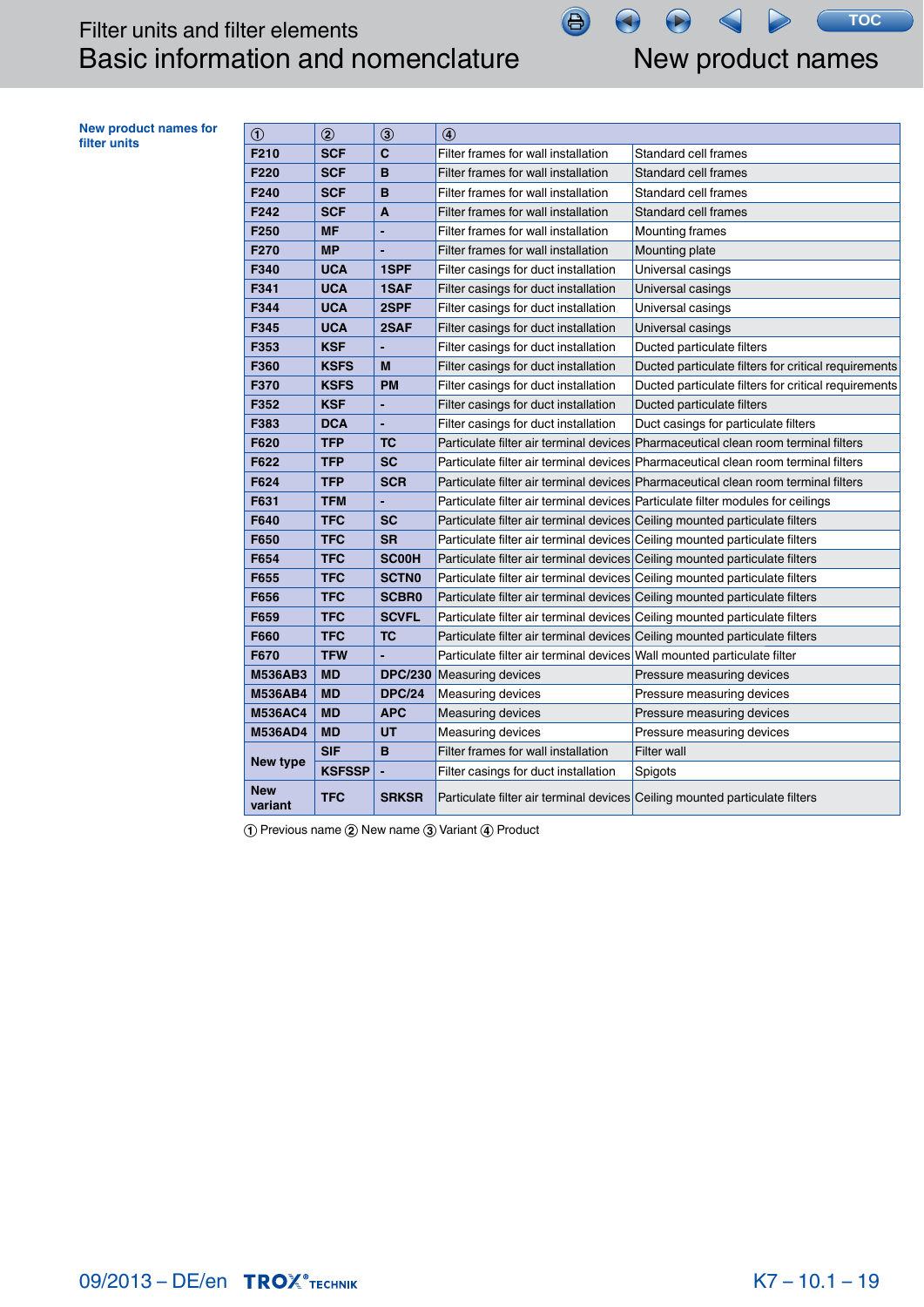New product names

 $\left( \blacktriangleright \right)$ 

 $\left(\blacklozenge\right)$ 

**TOC**

<span id="page-17-0"></span>

| <b>New product names for</b><br>filter units | $\odot$               | $\circledcirc$ | $\circled{3}$  | 4                                                                           |                                                                                    |
|----------------------------------------------|-----------------------|----------------|----------------|-----------------------------------------------------------------------------|------------------------------------------------------------------------------------|
|                                              | F210                  | <b>SCF</b>     | C              | Filter frames for wall installation                                         | Standard cell frames                                                               |
|                                              | F220                  | <b>SCF</b>     | B              | Filter frames for wall installation                                         | Standard cell frames                                                               |
|                                              | F240                  | <b>SCF</b>     | B              | Filter frames for wall installation                                         | Standard cell frames                                                               |
|                                              | F242                  | <b>SCF</b>     | A              | Filter frames for wall installation                                         | Standard cell frames                                                               |
|                                              | F250                  | <b>MF</b>      |                | Filter frames for wall installation                                         | <b>Mounting frames</b>                                                             |
|                                              | F270                  | <b>MP</b>      |                | Filter frames for wall installation                                         | Mounting plate                                                                     |
|                                              | F340                  | <b>UCA</b>     | 1SPF           | Filter casings for duct installation                                        | Universal casings                                                                  |
|                                              | F341                  | <b>UCA</b>     | 1SAF           | Filter casings for duct installation                                        | Universal casings                                                                  |
|                                              | F344                  | <b>UCA</b>     | 2SPF           | Filter casings for duct installation                                        | Universal casings                                                                  |
|                                              | F345                  | <b>UCA</b>     | 2SAF           | Filter casings for duct installation                                        | Universal casings                                                                  |
|                                              | F353                  | <b>KSF</b>     |                | Filter casings for duct installation                                        | Ducted particulate filters                                                         |
|                                              | F360                  | <b>KSFS</b>    | M              | Filter casings for duct installation                                        | Ducted particulate filters for critical requirements                               |
|                                              | F370                  | <b>KSFS</b>    | <b>PM</b>      | Filter casings for duct installation                                        | Ducted particulate filters for critical requirements                               |
|                                              | F352                  | <b>KSF</b>     |                | Filter casings for duct installation                                        | Ducted particulate filters                                                         |
|                                              | F383                  | <b>DCA</b>     |                | Filter casings for duct installation                                        | Duct casings for particulate filters                                               |
|                                              | F620                  | <b>TFP</b>     | <b>TC</b>      |                                                                             | Particulate filter air terminal devices Pharmaceutical clean room terminal filters |
|                                              | F622                  | <b>TFP</b>     | <b>SC</b>      |                                                                             | Particulate filter air terminal devices Pharmaceutical clean room terminal filters |
|                                              | F624                  | <b>TFP</b>     | <b>SCR</b>     |                                                                             | Particulate filter air terminal devices Pharmaceutical clean room terminal filters |
|                                              | F631                  | <b>TFM</b>     |                |                                                                             | Particulate filter air terminal devices Particulate filter modules for ceilings    |
|                                              | F640                  | <b>TFC</b>     | <b>SC</b>      | Particulate filter air terminal devices Ceiling mounted particulate filters |                                                                                    |
|                                              | F650                  | <b>TFC</b>     | <b>SR</b>      | Particulate filter air terminal devices Ceiling mounted particulate filters |                                                                                    |
|                                              | F654                  | <b>TFC</b>     | <b>SC00H</b>   | Particulate filter air terminal devices Ceiling mounted particulate filters |                                                                                    |
|                                              | F655                  | <b>TFC</b>     | <b>SCTN0</b>   | Particulate filter air terminal devices Ceiling mounted particulate filters |                                                                                    |
|                                              | F656                  | <b>TFC</b>     | <b>SCBR0</b>   | Particulate filter air terminal devices Ceiling mounted particulate filters |                                                                                    |
|                                              | F659                  | <b>TFC</b>     | <b>SCVFL</b>   | Particulate filter air terminal devices Ceiling mounted particulate filters |                                                                                    |
|                                              | F660                  | <b>TFC</b>     | <b>TC</b>      | Particulate filter air terminal devices Ceiling mounted particulate filters |                                                                                    |
|                                              | F670                  | <b>TFW</b>     |                | Particulate filter air terminal devices Wall mounted particulate filter     |                                                                                    |
|                                              | <b>M536AB3</b>        | <b>MD</b>      | <b>DPC/230</b> | <b>Measuring devices</b>                                                    | Pressure measuring devices                                                         |
|                                              | <b>M536AB4</b>        | <b>MD</b>      | <b>DPC/24</b>  | <b>Measuring devices</b>                                                    | Pressure measuring devices                                                         |
|                                              | <b>M536AC4</b>        | <b>MD</b>      | <b>APC</b>     | <b>Measuring devices</b>                                                    | Pressure measuring devices                                                         |
|                                              | <b>M536AD4</b>        | <b>MD</b>      | UT             | Measuring devices                                                           | Pressure measuring devices                                                         |
|                                              | New type              | <b>SIF</b>     | B              | Filter frames for wall installation                                         | Filter wall                                                                        |
|                                              |                       | <b>KSFSSP</b>  | ÷              | Filter casings for duct installation                                        | Spigots                                                                            |
|                                              | <b>New</b><br>variant | <b>TFC</b>     | <b>SRKSR</b>   | Particulate filter air terminal devices Ceiling mounted particulate filters |                                                                                    |

 $\bigoplus$ 

① Previous name ② New name ③ Variant ④ Product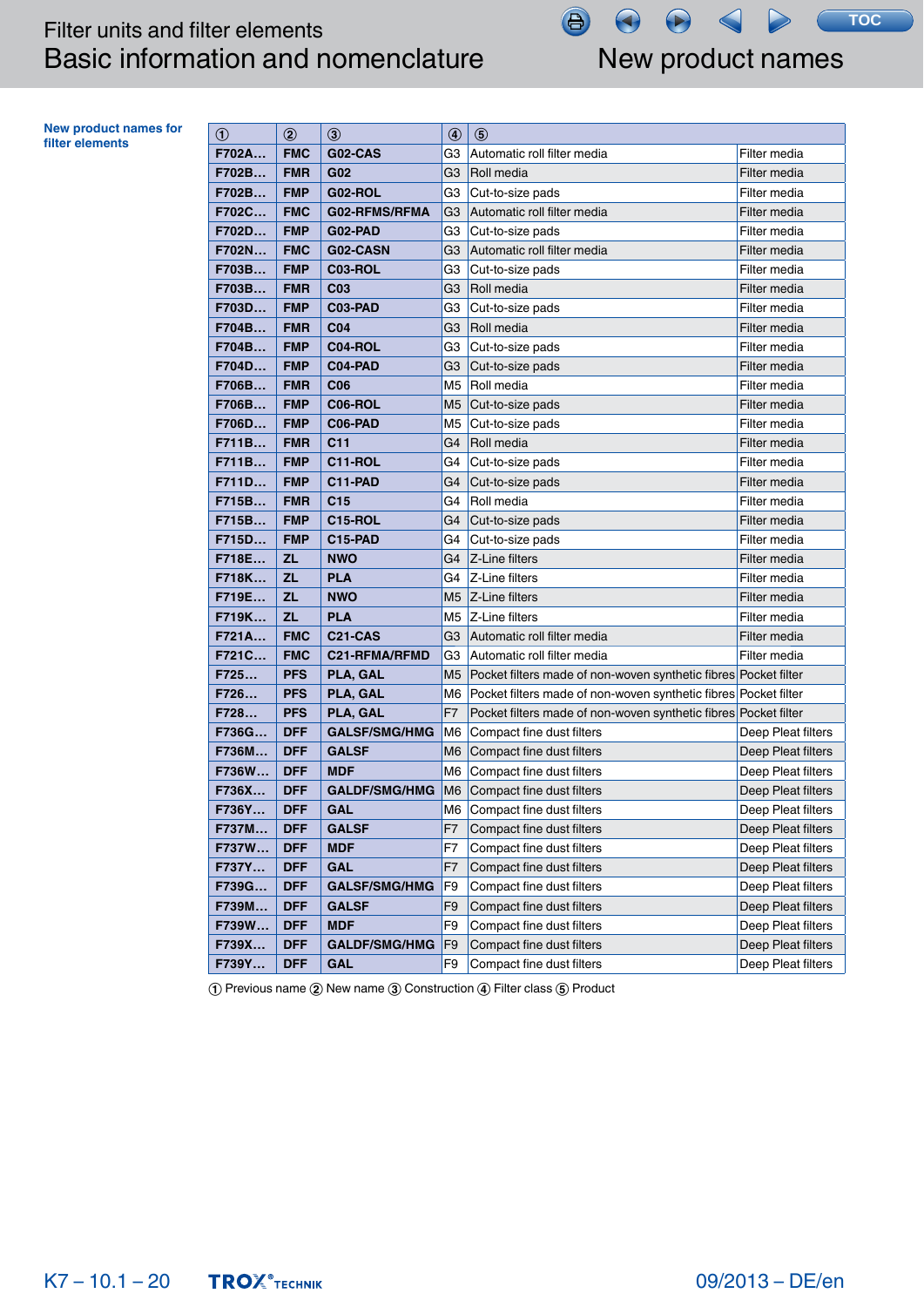# Filter units and filter elements Basic information and nomenclature New product names

合

**TOC**

**New product names for** 

**filter elements or**  $\begin{array}{|c|c|c|c|c|c|} \hline \text{of} & \text{(a) } & \text{(b)} & \text{(c) } & \text{(d) } & \text{(e)} \\ \hline \end{array}$ Automatic roll filter media **Filter media Filter media F702B…** FMR G02 G3 Roll media Filter media **F702B… FMP G02-ROL G3 Cut-to-size pads Filter media F702C…** FMC G02-RFMS/RFMA G3 Automatic roll filter media Filter media **F702D…** FMP G02-PAD G3 Cut-to-size pads Filter media **F702N…** FMC G02-CASN G3 Automatic roll filter media Filter media **F703B… FMP C03-ROL G3 Cut-to-size pads Filter media F703B… FMR C03** G3 Roll media Filter media Filter media **F703D…** FMP C03-PAD G3 Cut-to-size pads Filter media **F704B…** FMR C04 G3 Roll media Filter media Filter media **F704B…** FMP C04-ROL G3 Cut-to-size pads Filter media **F704D…** FMP C04-PAD G3 Cut-to-size pads Filter media **F706B… | FMR | C06 | M5 | Roll media | Transference | Filter media | Filter media F706B…** FMP C06-ROL M5 Cut-to-size pads Filter media **F706D…** FMP C06-PAD M5 Cut-to-size pads Filter media **F711B…** FMR C11 G4 Roll media Filter media **F711B… FMP C11-ROL** G4 Cut-to-size pads Filter media **F711D…** FMP C11-PAD G4 Cut-to-size pads Filter media **F715B…** FMR C15 G4 Roll media Filter media **F715B…** FMP C15-ROL G4 Cut-to-size pads Filter media **F715D…** FMP C15-PAD G4 Cut-to-size pads Filter media **F718E… ZL NWO** G4 Z-Line filters **G1** G4 MUSIC METAL Filter media **F718K…** ZL PLA G4 Z-Line filters **F718K…** Filter media **F719E…** ZL NWO M5 Z-Line filters **Filter M5** Section 1 Rilter media **F719K…** ZL PLA M5 Z-Line filters **F719K…** Filter media **F721A…** FMC C21-CAS G3 Automatic roll filter media Filter media **F721C…** FMC C21-RFMA/RFMD G3 Automatic roll filter media Filter media **F725... PFS** PLA, GAL M5 Pocket filters made of non-woven synthetic fibres Pocket filter **F726… PFS PLA, GAL** M6 Pocket filters made of non-woven synthetic fibres Pocket filter **F728... PFS** PLA, GAL **F7** Pocket filters made of non-woven synthetic fibres Pocket filter **F736G… DFF GALSF/SMG/HMG** M6 Compact fine dust filters Deep Pleat filters **F736M...** DFF GALSF M6 Compact fine dust filters Deep Pleat filters **F736W...** DFF MDF M6 Compact fine dust filters Deep Pleat filters **F736X…** DFF GALDF/SMG/HMG M6 Compact fine dust filters Deep Pleat filters **F736Y…** DFF GAL M6 Compact fine dust filters Deep Pleat filters **F737M…** DFF GALSF F7 Compact fine dust filters Deep Pleat filters **F737W…** DFF MDF **F7** Compact fine dust filters **Deep Pleat filters F737Y… DFF GAL F7 Compact fine dust filters Deep Pleat filters F739G… DFF GALSF/SMG/HMG** F9 Compact fine dust filters Deep Pleat filters **F739M…** DFF GALSF F9 Compact fine dust filters Deep Pleat filters **F739W...** DFF MDF **F9** Compact fine dust filters **Deep Pleat filters F739X… DFF GALDF/SMG/HMG** F9 Compact fine dust filters Deep Pleat filters **F739Y… DFF GAL F9 Compact fine dust filters** Deep Pleat filters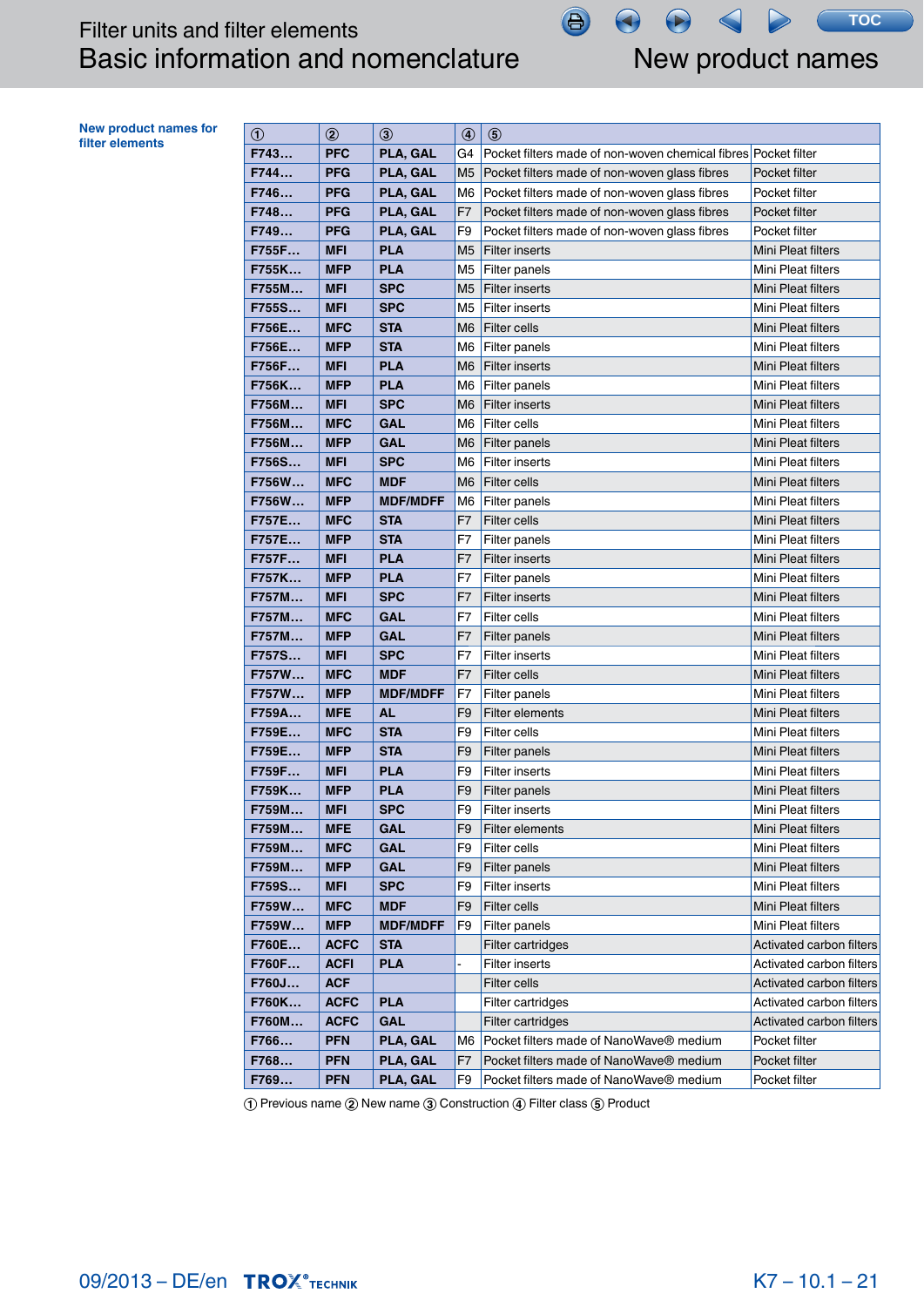New product names

**TOC**

| <b>New product names for</b> |
|------------------------------|
| filter elements              |

| <b>New product names for</b><br>filter elements | $\circledcirc$ | $^{\circledR}$ | $\circled{3}$   | $\circledcirc$ | $\circledS$                                                    |                           |
|-------------------------------------------------|----------------|----------------|-----------------|----------------|----------------------------------------------------------------|---------------------------|
|                                                 | F743           | <b>PFC</b>     | PLA, GAL        | G4             | Pocket filters made of non-woven chemical fibres Pocket filter |                           |
|                                                 | F744           | <b>PFG</b>     | PLA, GAL        | M <sub>5</sub> | Pocket filters made of non-woven glass fibres                  | Pocket filter             |
|                                                 | F746           | <b>PFG</b>     | PLA, GAL        | M6             | Pocket filters made of non-woven glass fibres                  | Pocket filter             |
|                                                 | F748           | <b>PFG</b>     | PLA, GAL        | F <sub>7</sub> | Pocket filters made of non-woven glass fibres                  | Pocket filter             |
|                                                 | F749           | <b>PFG</b>     | PLA, GAL        | F9             | Pocket filters made of non-woven glass fibres                  | Pocket filter             |
|                                                 | F755F          | <b>MFI</b>     | <b>PLA</b>      | M <sub>5</sub> | Filter inserts                                                 | Mini Pleat filters        |
|                                                 | F755K          | <b>MFP</b>     | <b>PLA</b>      | M <sub>5</sub> | Filter panels                                                  | Mini Pleat filters        |
|                                                 | F755M          | <b>MFI</b>     | <b>SPC</b>      | M <sub>5</sub> | Filter inserts                                                 | Mini Pleat filters        |
|                                                 | F755S          | <b>MFI</b>     | <b>SPC</b>      | M5             | <b>Filter inserts</b>                                          | Mini Pleat filters        |
|                                                 | F756E          | <b>MFC</b>     | <b>STA</b>      | M6             | <b>Filter cells</b>                                            | Mini Pleat filters        |
|                                                 | F756E          | <b>MFP</b>     | <b>STA</b>      | M6             | Filter panels                                                  | Mini Pleat filters        |
|                                                 | F756F          | <b>MFI</b>     | <b>PLA</b>      | M6             | Filter inserts                                                 | Mini Pleat filters        |
|                                                 | F756K          | <b>MFP</b>     | <b>PLA</b>      | M6             | Filter panels                                                  | Mini Pleat filters        |
|                                                 | F756M          | <b>MFI</b>     | <b>SPC</b>      | M6             | <b>Filter inserts</b>                                          | Mini Pleat filters        |
|                                                 | F756M          | <b>MFC</b>     | <b>GAL</b>      | M6             | Filter cells                                                   | Mini Pleat filters        |
|                                                 | F756M          | <b>MFP</b>     | <b>GAL</b>      | M6             | <b>Filter panels</b>                                           | Mini Pleat filters        |
|                                                 | F756S          | <b>MFI</b>     | <b>SPC</b>      | M6             | Filter inserts                                                 | Mini Pleat filters        |
|                                                 | F756W          | <b>MFC</b>     | <b>MDF</b>      | M <sub>6</sub> | <b>Filter cells</b>                                            | Mini Pleat filters        |
|                                                 | F756W          | <b>MFP</b>     | <b>MDF/MDFF</b> | M <sub>6</sub> | Filter panels                                                  | Mini Pleat filters        |
|                                                 | F757E          | <b>MFC</b>     | <b>STA</b>      | F <sub>7</sub> | <b>Filter cells</b>                                            | Mini Pleat filters        |
|                                                 | F757E          | <b>MFP</b>     | <b>STA</b>      | F7             | <b>Filter panels</b>                                           | Mini Pleat filters        |
|                                                 | F757F          | <b>MFI</b>     | <b>PLA</b>      | F7             | <b>Filter inserts</b>                                          | Mini Pleat filters        |
|                                                 | F757K          | <b>MFP</b>     | <b>PLA</b>      | F7             | <b>Filter panels</b>                                           | Mini Pleat filters        |
|                                                 | F757M          | <b>MFI</b>     | <b>SPC</b>      | F7             | <b>Filter inserts</b>                                          | Mini Pleat filters        |
|                                                 | F757M          | <b>MFC</b>     | <b>GAL</b>      | F7             | <b>Filter cells</b>                                            | Mini Pleat filters        |
|                                                 | F757M          | <b>MFP</b>     | <b>GAL</b>      | F7             | Filter panels                                                  | Mini Pleat filters        |
|                                                 | F757S          | <b>MFI</b>     | <b>SPC</b>      | F7             | <b>Filter inserts</b>                                          | Mini Pleat filters        |
|                                                 | F757W          | <b>MFC</b>     | <b>MDF</b>      | F7             | <b>Filter cells</b>                                            | Mini Pleat filters        |
|                                                 | F757W          | <b>MFP</b>     | <b>MDF/MDFF</b> | F7             | <b>Filter panels</b>                                           | Mini Pleat filters        |
|                                                 | F759A          | <b>MFE</b>     | <b>AL</b>       | F9             | <b>Filter elements</b>                                         | Mini Pleat filters        |
|                                                 | F759E          | <b>MFC</b>     | <b>STA</b>      | F <sub>9</sub> | <b>Filter cells</b>                                            | Mini Pleat filters        |
|                                                 | F759E          | <b>MFP</b>     | <b>STA</b>      | F <sub>9</sub> | <b>Filter panels</b>                                           | <b>Mini Pleat filters</b> |
|                                                 | F759F          | <b>MFI</b>     | <b>PLA</b>      | F <sub>9</sub> | Filter inserts                                                 | Mini Pleat filters        |
|                                                 | F759K          | <b>MFP</b>     | <b>PLA</b>      | F <sub>9</sub> | <b>Filter panels</b>                                           | Mini Pleat filters        |
|                                                 | F759M          | <b>MFI</b>     | <b>SPC</b>      | F <sub>9</sub> | <b>Filter inserts</b>                                          | Mini Pleat filters        |
|                                                 | F759M          | <b>MFE</b>     | GAL             | F9             | Filter elements                                                | Mini Pleat filters        |
|                                                 | F759M          | <b>MFC</b>     | <b>GAL</b>      | F9             | <b>Filter cells</b>                                            | Mini Pleat filters        |
|                                                 | F759M          | <b>MFP</b>     | <b>GAL</b>      | F <sub>9</sub> | Filter panels                                                  | <b>Mini Pleat filters</b> |
|                                                 | F759S          | <b>MFI</b>     | <b>SPC</b>      | F <sub>9</sub> | <b>Filter inserts</b>                                          | Mini Pleat filters        |
|                                                 | F759W          | <b>MFC</b>     | <b>MDF</b>      | F9             | <b>Filter cells</b>                                            | Mini Pleat filters        |
|                                                 | F759W          | <b>MFP</b>     | <b>MDF/MDFF</b> | F9             | <b>Filter panels</b>                                           | Mini Pleat filters        |
|                                                 | F760E          | <b>ACFC</b>    | <b>STA</b>      |                | Filter cartridges                                              | Activated carbon filters  |
|                                                 | F760F          | <b>ACFI</b>    | <b>PLA</b>      |                | <b>Filter inserts</b>                                          | Activated carbon filters  |
|                                                 | F760J          | <b>ACF</b>     |                 |                | <b>Filter cells</b>                                            | Activated carbon filters  |
|                                                 | F760K          | <b>ACFC</b>    | <b>PLA</b>      |                | Filter cartridges                                              | Activated carbon filters  |
|                                                 | F760M          | <b>ACFC</b>    | <b>GAL</b>      |                | Filter cartridges                                              | Activated carbon filters  |
|                                                 | F766           | <b>PFN</b>     | PLA, GAL        | M6             | Pocket filters made of NanoWave® medium                        | Pocket filter             |
|                                                 | F768           | <b>PFN</b>     | PLA, GAL        | F7             | Pocket filters made of NanoWave® medium                        | Pocket filter             |
|                                                 | F769           | <b>PFN</b>     | PLA, GAL        | F9             | Pocket filters made of NanoWave® medium                        | Pocket filter             |

 $\bigoplus$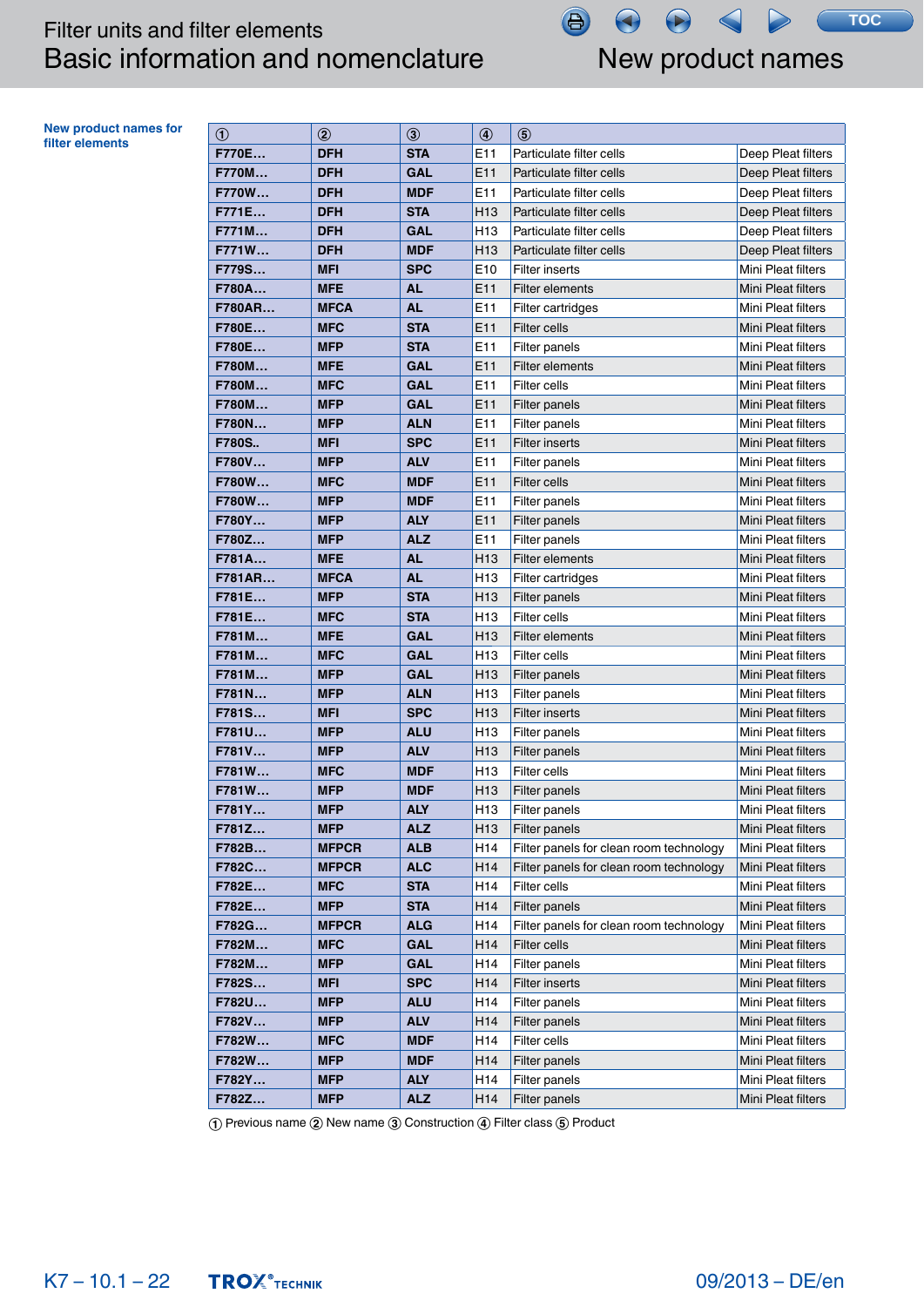# Filter units and filter elements Basic information and nomenclature New product names

 $\bigoplus$ 

**TOC**

**New product names for**  filter elements

| $^{\circledR}$ | $^{\circledR}$ | $\circledS$ | $\circledast$   | $\circledS$                             |                           |
|----------------|----------------|-------------|-----------------|-----------------------------------------|---------------------------|
| F770E          | <b>DFH</b>     | <b>STA</b>  | E11             | Particulate filter cells                | Deep Pleat filters        |
| <b>F770M</b>   | <b>DFH</b>     | <b>GAL</b>  | E11             | Particulate filter cells                | Deep Pleat filters        |
| <b>F770W</b>   | <b>DFH</b>     | <b>MDF</b>  | E11             | Particulate filter cells                | Deep Pleat filters        |
| F771E          | <b>DFH</b>     | <b>STA</b>  | H <sub>13</sub> | Particulate filter cells                | Deep Pleat filters        |
| F771M          | <b>DFH</b>     | <b>GAL</b>  | H <sub>13</sub> | Particulate filter cells                | Deep Pleat filters        |
| F771W          | <b>DFH</b>     | <b>MDF</b>  | H <sub>13</sub> | Particulate filter cells                | Deep Pleat filters        |
| F779S          | <b>MFI</b>     | <b>SPC</b>  | E10             | <b>Filter inserts</b>                   | Mini Pleat filters        |
| F780A          | <b>MFE</b>     | <b>AL</b>   | E11             | <b>Filter elements</b>                  | Mini Pleat filters        |
| <b>F780AR</b>  | <b>MFCA</b>    | <b>AL</b>   | E11             | Filter cartridges                       | Mini Pleat filters        |
| F780E          | <b>MFC</b>     | <b>STA</b>  | E11             | Filter cells                            | Mini Pleat filters        |
| F780E          | <b>MFP</b>     | <b>STA</b>  | E11             | <b>Filter panels</b>                    | Mini Pleat filters        |
| <b>F780M</b>   | <b>MFE</b>     | <b>GAL</b>  | E11             | Filter elements                         | Mini Pleat filters        |
| F780M          | <b>MFC</b>     | <b>GAL</b>  | E11             | Filter cells                            | Mini Pleat filters        |
| F780M          | <b>MFP</b>     | <b>GAL</b>  | E11             | <b>Filter panels</b>                    | <b>Mini Pleat filters</b> |
| F780N          | <b>MFP</b>     | <b>ALN</b>  | E11             | Filter panels                           | Mini Pleat filters        |
| <b>F780S</b>   | <b>MFI</b>     | <b>SPC</b>  | E11             | <b>Filter inserts</b>                   | Mini Pleat filters        |
| F780V          | <b>MFP</b>     | <b>ALV</b>  | E <sub>11</sub> | Filter panels                           | Mini Pleat filters        |
| F780W          | <b>MFC</b>     | <b>MDF</b>  | E11             | <b>Filter cells</b>                     | Mini Pleat filters        |
| F780W          | <b>MFP</b>     | <b>MDF</b>  | E <sub>11</sub> | <b>Filter panels</b>                    | Mini Pleat filters        |
| F780Y          | <b>MFP</b>     | <b>ALY</b>  | E11             | <b>Filter panels</b>                    | Mini Pleat filters        |
| F780Z          | <b>MFP</b>     | <b>ALZ</b>  | E11             | Filter panels                           | Mini Pleat filters        |
| F781A          | <b>MFE</b>     | <b>AL</b>   | H <sub>13</sub> | <b>Filter elements</b>                  | Mini Pleat filters        |
| <b>F781AR</b>  | <b>MFCA</b>    | <b>AL</b>   | H <sub>13</sub> | Filter cartridges                       | Mini Pleat filters        |
| F781E          | <b>MFP</b>     | <b>STA</b>  | H <sub>13</sub> | Filter panels                           | <b>Mini Pleat filters</b> |
| F781E          | <b>MFC</b>     | <b>STA</b>  | H <sub>13</sub> | <b>Filter cells</b>                     | Mini Pleat filters        |
| F781M          | <b>MFE</b>     | <b>GAL</b>  | H <sub>13</sub> | Filter elements                         | Mini Pleat filters        |
| F781M          | <b>MFC</b>     | <b>GAL</b>  | H <sub>13</sub> | Filter cells                            | Mini Pleat filters        |
| F781M          | <b>MFP</b>     | <b>GAL</b>  | H <sub>13</sub> | <b>Filter panels</b>                    | Mini Pleat filters        |
| F781N          | <b>MFP</b>     | <b>ALN</b>  | H <sub>13</sub> | Filter panels                           | Mini Pleat filters        |
| F781S          | <b>MFI</b>     | <b>SPC</b>  | H <sub>13</sub> | <b>Filter inserts</b>                   | Mini Pleat filters        |
| F781U          | <b>MFP</b>     | <b>ALU</b>  | H <sub>13</sub> | Filter panels                           | Mini Pleat filters        |
| F781V          | <b>MFP</b>     | <b>ALV</b>  | H <sub>13</sub> | <b>Filter panels</b>                    | Mini Pleat filters        |
| F781W          | <b>MFC</b>     | <b>MDF</b>  | H <sub>13</sub> | Filter cells                            | Mini Pleat filters        |
| F781W          | <b>MFP</b>     | <b>MDF</b>  | H <sub>13</sub> | <b>Filter panels</b>                    | <b>Mini Pleat filters</b> |
| F781Y          | <b>MFP</b>     | <b>ALY</b>  | H <sub>13</sub> | Filter panels                           | Mini Pleat filters        |
| F781Z          | <b>MFP</b>     | <b>ALZ</b>  | H <sub>13</sub> | Filter panels                           | Mini Pleat filters        |
| F782B          | <b>MFPCR</b>   | <b>ALB</b>  | H14             | Filter panels for clean room technology | Mini Pleat filters        |
| F782C          | <b>MFPCR</b>   | <b>ALC</b>  | H14             | Filter panels for clean room technology | Mini Pleat filters        |
| F782E          | <b>MFC</b>     | <b>STA</b>  | H14             | Filter cells                            | Mini Pleat filters        |
| F782E          | <b>MFP</b>     | <b>STA</b>  | H <sub>14</sub> | Filter panels                           | Mini Pleat filters        |
| F782G          | <b>MFPCR</b>   | <b>ALG</b>  | H <sub>14</sub> | Filter panels for clean room technology | Mini Pleat filters        |
| F782M          | <b>MFC</b>     | GAL         | H14             | Filter cells                            | Mini Pleat filters        |
| F782M          | <b>MFP</b>     | <b>GAL</b>  | H14             | Filter panels                           | Mini Pleat filters        |
| F782S          | <b>MFI</b>     | <b>SPC</b>  | H <sub>14</sub> | <b>Filter inserts</b>                   | Mini Pleat filters        |
| F782U          | <b>MFP</b>     | <b>ALU</b>  | H <sub>14</sub> | Filter panels                           | Mini Pleat filters        |
| F782V          | <b>MFP</b>     | <b>ALV</b>  | H14             | <b>Filter panels</b>                    | Mini Pleat filters        |
| F782W          | <b>MFC</b>     | <b>MDF</b>  | H <sub>14</sub> | Filter cells                            | Mini Pleat filters        |
| F782W          | <b>MFP</b>     | <b>MDF</b>  | H14             | Filter panels                           | Mini Pleat filters        |
| F782Y          | <b>MFP</b>     | <b>ALY</b>  | H14             | Filter panels                           | Mini Pleat filters        |
| F782Z          | <b>MFP</b>     | <b>ALZ</b>  | H14             | Filter panels                           | Mini Pleat filters        |